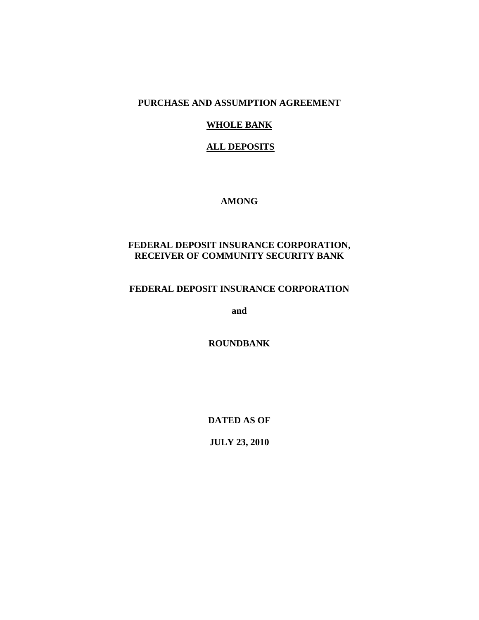#### **PURCHASE AND ASSUMPTION AGREEMENT**

#### **WHOLE BANK**

#### **ALL DEPOSITS**

**AMONG** 

#### **FEDERAL DEPOSIT INSURANCE CORPORATION, RECEIVER OF COMMUNITY SECURITY BANK**

#### **FEDERAL DEPOSIT INSURANCE CORPORATION**

**and** 

**ROUNDBANK** 

**DATED AS OF**

**JULY 23, 2010**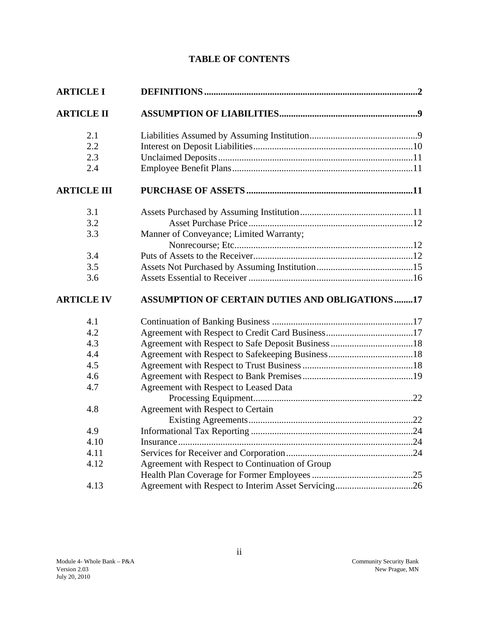## **TABLE OF CONTENTS**

| <b>ARTICLE I</b>   |                                                       |  |
|--------------------|-------------------------------------------------------|--|
| <b>ARTICLE II</b>  |                                                       |  |
| 2.1                |                                                       |  |
| 2.2                |                                                       |  |
| 2.3                |                                                       |  |
| 2.4                |                                                       |  |
| <b>ARTICLE III</b> |                                                       |  |
| 3.1                |                                                       |  |
| 3.2                |                                                       |  |
| 3.3                | Manner of Conveyance; Limited Warranty;               |  |
|                    |                                                       |  |
| 3.4                |                                                       |  |
| 3.5                |                                                       |  |
| 3.6                |                                                       |  |
| <b>ARTICLE IV</b>  | <b>ASSUMPTION OF CERTAIN DUTIES AND OBLIGATIONS17</b> |  |
| 4.1                |                                                       |  |
| 4.2                |                                                       |  |
| 4.3                |                                                       |  |
| 4.4                |                                                       |  |
| 4.5                |                                                       |  |
| 4.6                |                                                       |  |
| 4.7                | Agreement with Respect to Leased Data                 |  |
|                    |                                                       |  |
| 4.8                | Agreement with Respect to Certain                     |  |
|                    |                                                       |  |
| 4.9                |                                                       |  |
| 4.10               |                                                       |  |
| 4.11               |                                                       |  |
| 4.12               | Agreement with Respect to Continuation of Group       |  |
|                    |                                                       |  |
| 4.13               |                                                       |  |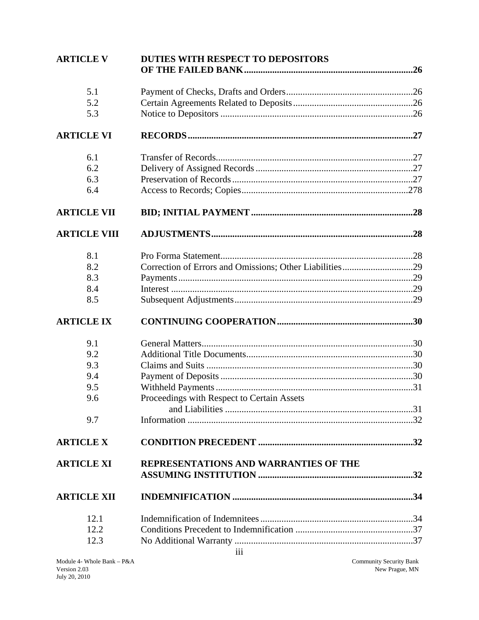| <b>ARTICLE V</b>    | <b>DUTIES WITH RESPECT TO DEPOSITORS</b>   |  |  |
|---------------------|--------------------------------------------|--|--|
| 5.1                 |                                            |  |  |
| 5.2                 |                                            |  |  |
| 5.3                 |                                            |  |  |
| <b>ARTICLE VI</b>   |                                            |  |  |
| 6.1                 |                                            |  |  |
| 6.2                 |                                            |  |  |
| 6.3                 |                                            |  |  |
| 6.4                 |                                            |  |  |
| <b>ARTICLE VII</b>  |                                            |  |  |
| <b>ARTICLE VIII</b> |                                            |  |  |
| 8.1                 |                                            |  |  |
| 8.2                 |                                            |  |  |
| 8.3                 |                                            |  |  |
| 8.4                 |                                            |  |  |
| 8.5                 |                                            |  |  |
| <b>ARTICLE IX</b>   |                                            |  |  |
| 9.1                 |                                            |  |  |
| 9.2                 |                                            |  |  |
| 9.3                 |                                            |  |  |
| 9.4                 |                                            |  |  |
| 9.5                 |                                            |  |  |
| 9.6                 | Proceedings with Respect to Certain Assets |  |  |
|                     |                                            |  |  |
| 9.7                 |                                            |  |  |
| <b>ARTICLE X</b>    |                                            |  |  |
| <b>ARTICLE XI</b>   | REPRESENTATIONS AND WARRANTIES OF THE      |  |  |
| <b>ARTICLE XII</b>  |                                            |  |  |
| 12.1                |                                            |  |  |
| 12.2                |                                            |  |  |
| 12.3                |                                            |  |  |
|                     |                                            |  |  |

Community Security Bank<br>New Prague, MN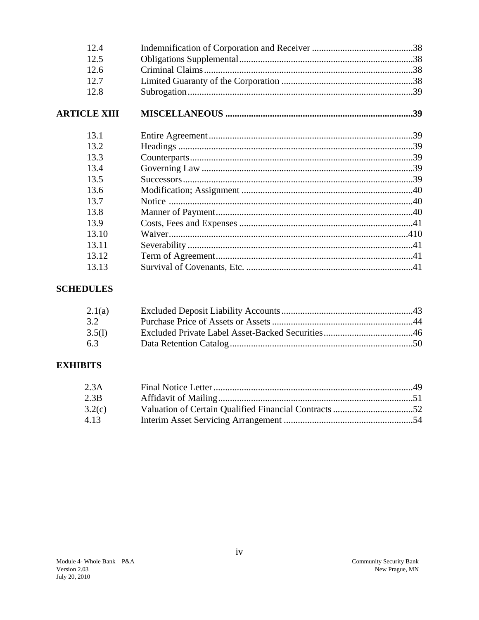| 12.4                |  |
|---------------------|--|
| 12.5                |  |
| 12.6                |  |
| 12.7                |  |
| 12.8                |  |
| <b>ARTICLE XIII</b> |  |
| 13.1                |  |
| 13.2                |  |
| 13.3                |  |
| 13.4                |  |
| 13.5                |  |
| 13.6                |  |
| 13.7                |  |
| 13.8                |  |
| 13.9                |  |
| 13.10               |  |
| 13.11               |  |
| 13.12               |  |
| 13.13               |  |

## **SCHEDULES**

| 2.1(a) |  |
|--------|--|
| 3.2    |  |
| 3.5(1) |  |
| 6.3    |  |

# **EXHIBITS**

| 2.3A   |  |
|--------|--|
| 2.3B   |  |
| 3.2(c) |  |
| 4.13   |  |
|        |  |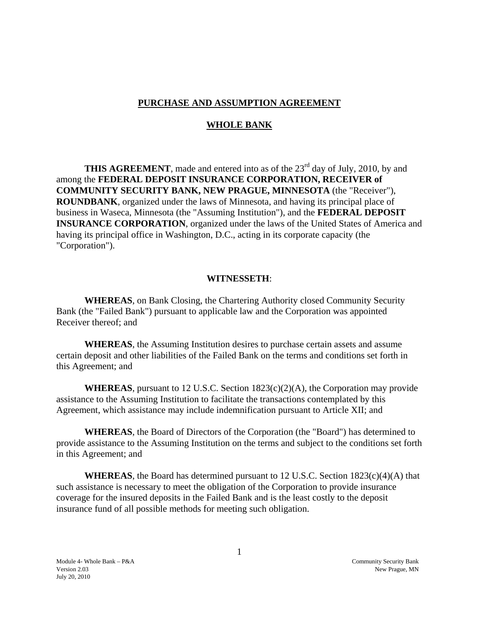#### **PURCHASE AND ASSUMPTION AGREEMENT**

#### **WHOLE BANK**

**THIS AGREEMENT**, made and entered into as of the 23<sup>rd</sup> day of July, 2010, by and among the **FEDERAL DEPOSIT INSURANCE CORPORATION, RECEIVER of COMMUNITY SECURITY BANK, NEW PRAGUE, MINNESOTA** (the "Receiver"), **ROUNDBANK**, organized under the laws of Minnesota, and having its principal place of business in Waseca, Minnesota (the "Assuming Institution"), and the **FEDERAL DEPOSIT INSURANCE CORPORATION**, organized under the laws of the United States of America and having its principal office in Washington, D.C., acting in its corporate capacity (the "Corporation").

#### **WITNESSETH**:

**WHEREAS**, on Bank Closing, the Chartering Authority closed Community Security Bank (the "Failed Bank") pursuant to applicable law and the Corporation was appointed Receiver thereof; and

**WHEREAS**, the Assuming Institution desires to purchase certain assets and assume certain deposit and other liabilities of the Failed Bank on the terms and conditions set forth in this Agreement; and

**WHEREAS**, pursuant to 12 U.S.C. Section 1823(c)(2)(A), the Corporation may provide assistance to the Assuming Institution to facilitate the transactions contemplated by this Agreement, which assistance may include indemnification pursuant to Article XII; and

**WHEREAS**, the Board of Directors of the Corporation (the "Board") has determined to provide assistance to the Assuming Institution on the terms and subject to the conditions set forth in this Agreement; and

**WHEREAS**, the Board has determined pursuant to 12 U.S.C. Section 1823(c)(4)(A) that such assistance is necessary to meet the obligation of the Corporation to provide insurance coverage for the insured deposits in the Failed Bank and is the least costly to the deposit insurance fund of all possible methods for meeting such obligation.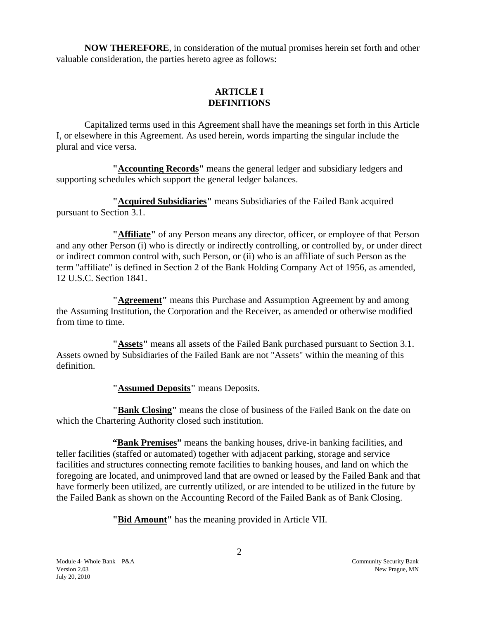**NOW THEREFORE**, in consideration of the mutual promises herein set forth and other valuable consideration, the parties hereto agree as follows:

## **ARTICLE I DEFINITIONS**

<span id="page-5-0"></span>Capitalized terms used in this Agreement shall have the meanings set forth in this Article I, or elsewhere in this Agreement. As used herein, words imparting the singular include the plural and vice versa.

**"Accounting Records"** means the general ledger and subsidiary ledgers and supporting schedules which support the general ledger balances.

**"Acquired Subsidiaries"** means Subsidiaries of the Failed Bank acquired pursuant to Section 3.1.

**"Affiliate"** of any Person means any director, officer, or employee of that Person and any other Person (i) who is directly or indirectly controlling, or controlled by, or under direct or indirect common control with, such Person, or (ii) who is an affiliate of such Person as the term "affiliate" is defined in Section 2 of the Bank Holding Company Act of 1956, as amended, 12 U.S.C. Section 1841.

**"Agreement"** means this Purchase and Assumption Agreement by and among the Assuming Institution, the Corporation and the Receiver, as amended or otherwise modified from time to time.

**"Assets"** means all assets of the Failed Bank purchased pursuant to Section 3.1. Assets owned by Subsidiaries of the Failed Bank are not "Assets" within the meaning of this definition.

**"Assumed Deposits"** means Deposits.

**"Bank Closing"** means the close of business of the Failed Bank on the date on which the Chartering Authority closed such institution.

**"Bank Premises"** means the banking houses, drive-in banking facilities, and teller facilities (staffed or automated) together with adjacent parking, storage and service facilities and structures connecting remote facilities to banking houses, and land on which the foregoing are located, and unimproved land that are owned or leased by the Failed Bank and that have formerly been utilized, are currently utilized, or are intended to be utilized in the future by the Failed Bank as shown on the Accounting Record of the Failed Bank as of Bank Closing.

**"Bid Amount"** has the meaning provided in Article VII.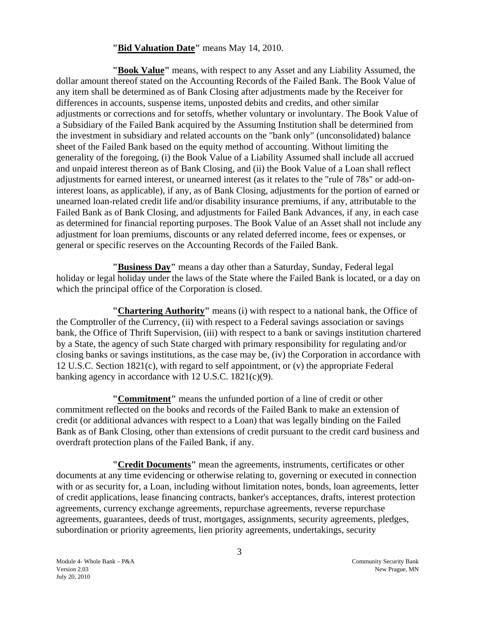#### **"Bid Valuation Date"** means May 14, 2010.

**"Book Value"** means, with respect to any Asset and any Liability Assumed, the dollar amount thereof stated on the Accounting Records of the Failed Bank. The Book Value of any item shall be determined as of Bank Closing after adjustments made by the Receiver for differences in accounts, suspense items, unposted debits and credits, and other similar adjustments or corrections and for setoffs, whether voluntary or involuntary. The Book Value of a Subsidiary of the Failed Bank acquired by the Assuming Institution shall be determined from the investment in subsidiary and related accounts on the "bank only" (unconsolidated) balance sheet of the Failed Bank based on the equity method of accounting. Without limiting the generality of the foregoing, (i) the Book Value of a Liability Assumed shall include all accrued and unpaid interest thereon as of Bank Closing, and (ii) the Book Value of a Loan shall reflect adjustments for earned interest, or unearned interest (as it relates to the "rule of 78s" or add-oninterest loans, as applicable), if any, as of Bank Closing, adjustments for the portion of earned or unearned loan-related credit life and/or disability insurance premiums, if any, attributable to the Failed Bank as of Bank Closing, and adjustments for Failed Bank Advances, if any, in each case as determined for financial reporting purposes. The Book Value of an Asset shall not include any adjustment for loan premiums, discounts or any related deferred income, fees or expenses, or general or specific reserves on the Accounting Records of the Failed Bank.

**"Business Day"** means a day other than a Saturday, Sunday, Federal legal holiday or legal holiday under the laws of the State where the Failed Bank is located, or a day on which the principal office of the Corporation is closed.

**"Chartering Authority"** means (i) with respect to a national bank, the Office of the Comptroller of the Currency, (ii) with respect to a Federal savings association or savings bank, the Office of Thrift Supervision, (iii) with respect to a bank or savings institution chartered by a State, the agency of such State charged with primary responsibility for regulating and/or closing banks or savings institutions, as the case may be, (iv) the Corporation in accordance with 12 U.S.C. Section 1821(c), with regard to self appointment, or (v) the appropriate Federal banking agency in accordance with 12 U.S.C. 1821(c)(9).

**"Commitment"** means the unfunded portion of a line of credit or other commitment reflected on the books and records of the Failed Bank to make an extension of credit (or additional advances with respect to a Loan) that was legally binding on the Failed Bank as of Bank Closing, other than extensions of credit pursuant to the credit card business and overdraft protection plans of the Failed Bank, if any.

**"Credit Documents"** mean the agreements, instruments, certificates or other documents at any time evidencing or otherwise relating to, governing or executed in connection with or as security for, a Loan, including without limitation notes, bonds, loan agreements, letter of credit applications, lease financing contracts, banker's acceptances, drafts, interest protection agreements, currency exchange agreements, repurchase agreements, reverse repurchase agreements, guarantees, deeds of trust, mortgages, assignments, security agreements, pledges, subordination or priority agreements, lien priority agreements, undertakings, security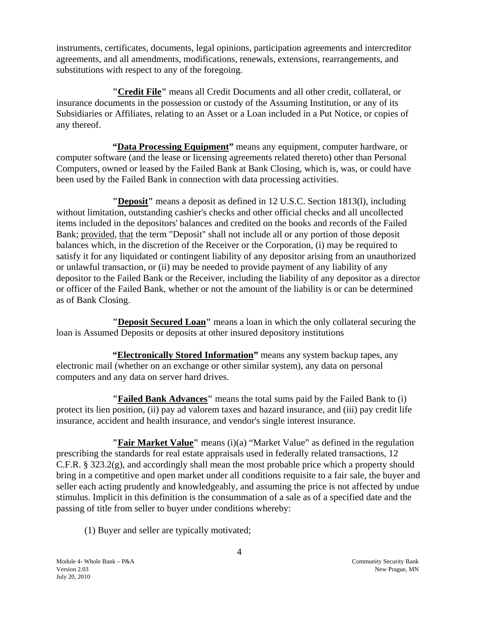instruments, certificates, documents, legal opinions, participation agreements and intercreditor agreements, and all amendments, modifications, renewals, extensions, rearrangements, and substitutions with respect to any of the foregoing.

**"Credit File"** means all Credit Documents and all other credit, collateral, or insurance documents in the possession or custody of the Assuming Institution, or any of its Subsidiaries or Affiliates, relating to an Asset or a Loan included in a Put Notice, or copies of any thereof.

**"Data Processing Equipment"** means any equipment, computer hardware, or computer software (and the lease or licensing agreements related thereto) other than Personal Computers, owned or leased by the Failed Bank at Bank Closing, which is, was, or could have been used by the Failed Bank in connection with data processing activities.

**"Deposit"** means a deposit as defined in 12 U.S.C. Section 1813(l), including without limitation, outstanding cashier's checks and other official checks and all uncollected items included in the depositors' balances and credited on the books and records of the Failed Bank; provided, that the term "Deposit" shall not include all or any portion of those deposit balances which, in the discretion of the Receiver or the Corporation, (i) may be required to satisfy it for any liquidated or contingent liability of any depositor arising from an unauthorized or unlawful transaction, or (ii) may be needed to provide payment of any liability of any depositor to the Failed Bank or the Receiver, including the liability of any depositor as a director or officer of the Failed Bank, whether or not the amount of the liability is or can be determined as of Bank Closing.

**"Deposit Secured Loan"** means a loan in which the only collateral securing the loan is Assumed Deposits or deposits at other insured depository institutions

**"Electronically Stored Information"** means any system backup tapes, any electronic mail (whether on an exchange or other similar system), any data on personal computers and any data on server hard drives.

**"Failed Bank Advances"** means the total sums paid by the Failed Bank to (i) protect its lien position, (ii) pay ad valorem taxes and hazard insurance, and (iii) pay credit life insurance, accident and health insurance, and vendor's single interest insurance.

**"Fair Market Value"** means (i)(a) "Market Value" as defined in the regulation prescribing the standards for real estate appraisals used in federally related transactions, 12 C.F.R. § 323.2(g), and accordingly shall mean the most probable price which a property should bring in a competitive and open market under all conditions requisite to a fair sale, the buyer and seller each acting prudently and knowledgeably, and assuming the price is not affected by undue stimulus. Implicit in this definition is the consummation of a sale as of a specified date and the passing of title from seller to buyer under conditions whereby:

(1) Buyer and seller are typically motivated;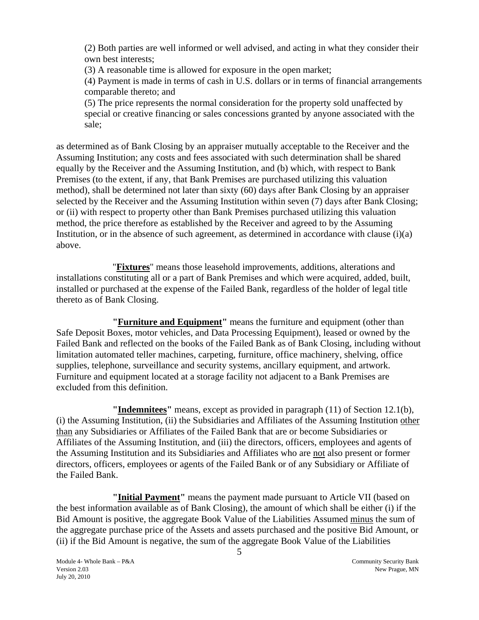(2) Both parties are well informed or well advised, and acting in what they consider their own best interests;

(3) A reasonable time is allowed for exposure in the open market;

(4) Payment is made in terms of cash in U.S. dollars or in terms of financial arrangements comparable thereto; and

(5) The price represents the normal consideration for the property sold unaffected by special or creative financing or sales concessions granted by anyone associated with the sale;

as determined as of Bank Closing by an appraiser mutually acceptable to the Receiver and the Assuming Institution; any costs and fees associated with such determination shall be shared equally by the Receiver and the Assuming Institution, and (b) which, with respect to Bank Premises (to the extent, if any, that Bank Premises are purchased utilizing this valuation method), shall be determined not later than sixty (60) days after Bank Closing by an appraiser selected by the Receiver and the Assuming Institution within seven (7) days after Bank Closing; or (ii) with respect to property other than Bank Premises purchased utilizing this valuation method, the price therefore as established by the Receiver and agreed to by the Assuming Institution, or in the absence of such agreement, as determined in accordance with clause  $(i)(a)$ above.

"**Fixtures**" means those leasehold improvements, additions, alterations and installations constituting all or a part of Bank Premises and which were acquired, added, built, installed or purchased at the expense of the Failed Bank, regardless of the holder of legal title thereto as of Bank Closing.

**"Furniture and Equipment"** means the furniture and equipment (other than Safe Deposit Boxes, motor vehicles, and Data Processing Equipment), leased or owned by the Failed Bank and reflected on the books of the Failed Bank as of Bank Closing, including without limitation automated teller machines, carpeting, furniture, office machinery, shelving, office supplies, telephone, surveillance and security systems, ancillary equipment, and artwork. Furniture and equipment located at a storage facility not adjacent to a Bank Premises are excluded from this definition.

**"Indemnitees"** means, except as provided in paragraph (11) of Section 12.1(b), (i) the Assuming Institution, (ii) the Subsidiaries and Affiliates of the Assuming Institution other than any Subsidiaries or Affiliates of the Failed Bank that are or become Subsidiaries or Affiliates of the Assuming Institution, and (iii) the directors, officers, employees and agents of the Assuming Institution and its Subsidiaries and Affiliates who are not also present or former directors, officers, employees or agents of the Failed Bank or of any Subsidiary or Affiliate of the Failed Bank.

**"Initial Payment"** means the payment made pursuant to Article VII (based on the best information available as of Bank Closing), the amount of which shall be either (i) if the Bid Amount is positive, the aggregate Book Value of the Liabilities Assumed minus the sum of the aggregate purchase price of the Assets and assets purchased and the positive Bid Amount, or (ii) if the Bid Amount is negative, the sum of the aggregate Book Value of the Liabilities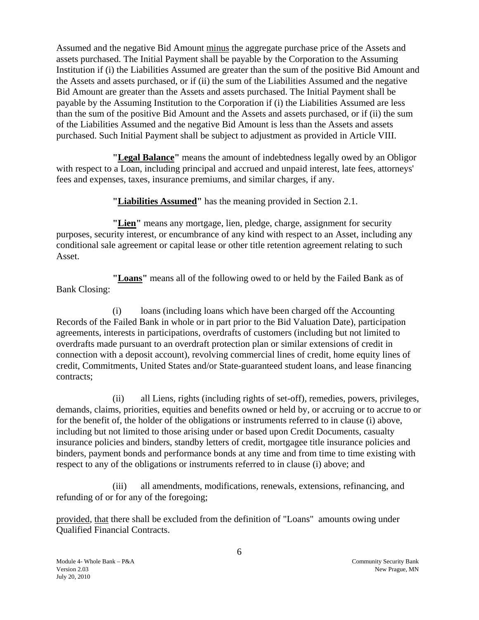Assumed and the negative Bid Amount minus the aggregate purchase price of the Assets and assets purchased. The Initial Payment shall be payable by the Corporation to the Assuming Institution if (i) the Liabilities Assumed are greater than the sum of the positive Bid Amount and the Assets and assets purchased, or if (ii) the sum of the Liabilities Assumed and the negative Bid Amount are greater than the Assets and assets purchased. The Initial Payment shall be payable by the Assuming Institution to the Corporation if (i) the Liabilities Assumed are less than the sum of the positive Bid Amount and the Assets and assets purchased, or if (ii) the sum of the Liabilities Assumed and the negative Bid Amount is less than the Assets and assets purchased. Such Initial Payment shall be subject to adjustment as provided in Article VIII.

**"Legal Balance"** means the amount of indebtedness legally owed by an Obligor with respect to a Loan, including principal and accrued and unpaid interest, late fees, attorneys' fees and expenses, taxes, insurance premiums, and similar charges, if any.

**"Liabilities Assumed"** has the meaning provided in Section 2.1.

**"Lien"** means any mortgage, lien, pledge, charge, assignment for security purposes, security interest, or encumbrance of any kind with respect to an Asset, including any conditional sale agreement or capital lease or other title retention agreement relating to such Asset.

**"Loans"** means all of the following owed to or held by the Failed Bank as of Bank Closing:

(i) loans (including loans which have been charged off the Accounting Records of the Failed Bank in whole or in part prior to the Bid Valuation Date), participation agreements, interests in participations, overdrafts of customers (including but not limited to overdrafts made pursuant to an overdraft protection plan or similar extensions of credit in connection with a deposit account), revolving commercial lines of credit, home equity lines of credit, Commitments, United States and/or State-guaranteed student loans, and lease financing contracts;

(ii) all Liens, rights (including rights of set-off), remedies, powers, privileges, demands, claims, priorities, equities and benefits owned or held by, or accruing or to accrue to or for the benefit of, the holder of the obligations or instruments referred to in clause (i) above, including but not limited to those arising under or based upon Credit Documents, casualty insurance policies and binders, standby letters of credit, mortgagee title insurance policies and binders, payment bonds and performance bonds at any time and from time to time existing with respect to any of the obligations or instruments referred to in clause (i) above; and

(iii) all amendments, modifications, renewals, extensions, refinancing, and refunding of or for any of the foregoing;

provided, that there shall be excluded from the definition of "Loans" amounts owing under Qualified Financial Contracts.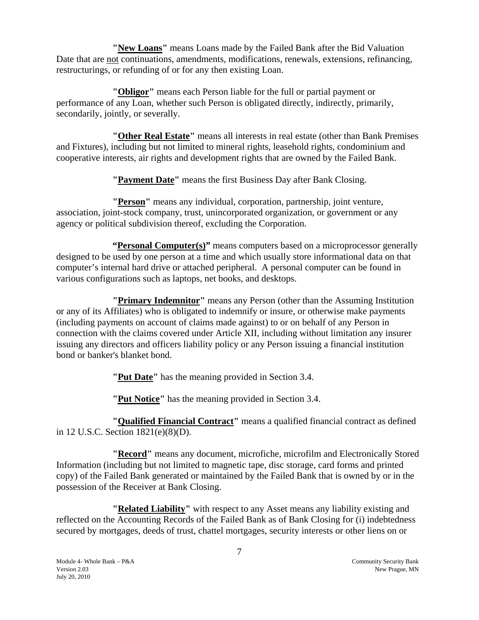**"New Loans"** means Loans made by the Failed Bank after the Bid Valuation Date that are not continuations, amendments, modifications, renewals, extensions, refinancing, restructurings, or refunding of or for any then existing Loan.

**"Obligor"** means each Person liable for the full or partial payment or performance of any Loan, whether such Person is obligated directly, indirectly, primarily, secondarily, jointly, or severally.

**"Other Real Estate"** means all interests in real estate (other than Bank Premises and Fixtures), including but not limited to mineral rights, leasehold rights, condominium and cooperative interests, air rights and development rights that are owned by the Failed Bank.

**"Payment Date"** means the first Business Day after Bank Closing.

**"Person"** means any individual, corporation, partnership, joint venture, association, joint-stock company, trust, unincorporated organization, or government or any agency or political subdivision thereof, excluding the Corporation.

**"Personal Computer(s)"** means computers based on a microprocessor generally designed to be used by one person at a time and which usually store informational data on that computer's internal hard drive or attached peripheral. A personal computer can be found in various configurations such as laptops, net books, and desktops.

**"Primary Indemnitor"** means any Person (other than the Assuming Institution or any of its Affiliates) who is obligated to indemnify or insure, or otherwise make payments (including payments on account of claims made against) to or on behalf of any Person in connection with the claims covered under Article XII, including without limitation any insurer issuing any directors and officers liability policy or any Person issuing a financial institution bond or banker's blanket bond.

**"Put Date"** has the meaning provided in Section 3.4.

**"Put Notice"** has the meaning provided in Section 3.4.

**"Qualified Financial Contract"** means a qualified financial contract as defined in 12 U.S.C. Section 1821(e)(8)(D).

**"Record"** means any document, microfiche, microfilm and Electronically Stored Information (including but not limited to magnetic tape, disc storage, card forms and printed copy) of the Failed Bank generated or maintained by the Failed Bank that is owned by or in the possession of the Receiver at Bank Closing.

**"Related Liability"** with respect to any Asset means any liability existing and reflected on the Accounting Records of the Failed Bank as of Bank Closing for (i) indebtedness secured by mortgages, deeds of trust, chattel mortgages, security interests or other liens on or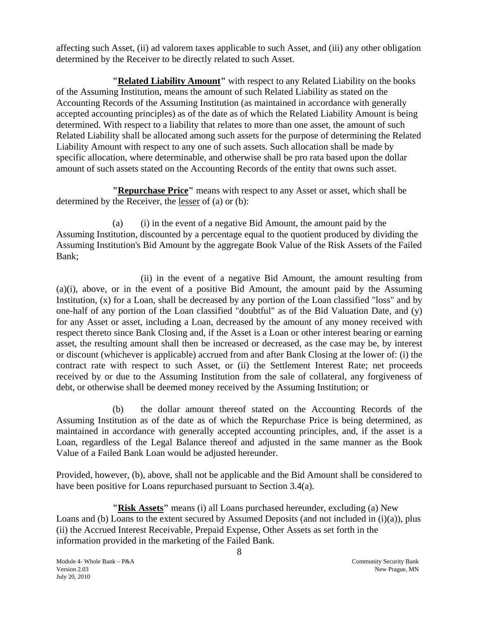affecting such Asset, (ii) ad valorem taxes applicable to such Asset, and (iii) any other obligation determined by the Receiver to be directly related to such Asset.

**"Related Liability Amount"** with respect to any Related Liability on the books of the Assuming Institution, means the amount of such Related Liability as stated on the Accounting Records of the Assuming Institution (as maintained in accordance with generally accepted accounting principles) as of the date as of which the Related Liability Amount is being determined. With respect to a liability that relates to more than one asset, the amount of such Related Liability shall be allocated among such assets for the purpose of determining the Related Liability Amount with respect to any one of such assets. Such allocation shall be made by specific allocation, where determinable, and otherwise shall be pro rata based upon the dollar amount of such assets stated on the Accounting Records of the entity that owns such asset.

**"Repurchase Price"** means with respect to any Asset or asset, which shall be determined by the Receiver, the lesser of (a) or (b):

(a) (i) in the event of a negative Bid Amount, the amount paid by the Assuming Institution, discounted by a percentage equal to the quotient produced by dividing the Assuming Institution's Bid Amount by the aggregate Book Value of the Risk Assets of the Failed Bank;

(ii) in the event of a negative Bid Amount, the amount resulting from (a)(i), above, or in the event of a positive Bid Amount, the amount paid by the Assuming Institution, (x) for a Loan, shall be decreased by any portion of the Loan classified "loss" and by one-half of any portion of the Loan classified "doubtful" as of the Bid Valuation Date, and (y) for any Asset or asset, including a Loan, decreased by the amount of any money received with respect thereto since Bank Closing and, if the Asset is a Loan or other interest bearing or earning asset, the resulting amount shall then be increased or decreased, as the case may be, by interest or discount (whichever is applicable) accrued from and after Bank Closing at the lower of: (i) the contract rate with respect to such Asset, or (ii) the Settlement Interest Rate; net proceeds received by or due to the Assuming Institution from the sale of collateral, any forgiveness of debt, or otherwise shall be deemed money received by the Assuming Institution; or

(b) the dollar amount thereof stated on the Accounting Records of the Assuming Institution as of the date as of which the Repurchase Price is being determined, as maintained in accordance with generally accepted accounting principles, and, if the asset is a Loan, regardless of the Legal Balance thereof and adjusted in the same manner as the Book Value of a Failed Bank Loan would be adjusted hereunder.

Provided, however, (b), above, shall not be applicable and the Bid Amount shall be considered to have been positive for Loans repurchased pursuant to Section 3.4(a).

**"Risk Assets"** means (i) all Loans purchased hereunder, excluding (a) New Loans and (b) Loans to the extent secured by Assumed Deposits (and not included in (i)(a)), plus (ii) the Accrued Interest Receivable, Prepaid Expense, Other Assets as set forth in the information provided in the marketing of the Failed Bank.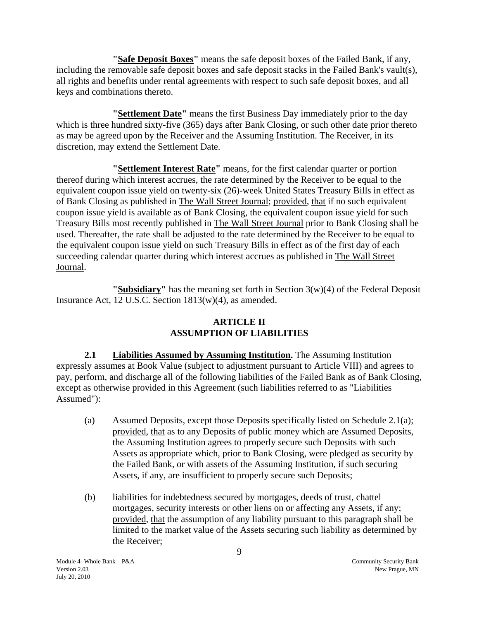**"Safe Deposit Boxes"** means the safe deposit boxes of the Failed Bank, if any, including the removable safe deposit boxes and safe deposit stacks in the Failed Bank's vault(s), all rights and benefits under rental agreements with respect to such safe deposit boxes, and all keys and combinations thereto.

**"Settlement Date"** means the first Business Day immediately prior to the day which is three hundred sixty-five (365) days after Bank Closing, or such other date prior thereto as may be agreed upon by the Receiver and the Assuming Institution. The Receiver, in its discretion, may extend the Settlement Date.

**"Settlement Interest Rate"** means, for the first calendar quarter or portion thereof during which interest accrues, the rate determined by the Receiver to be equal to the equivalent coupon issue yield on twenty-six (26)-week United States Treasury Bills in effect as of Bank Closing as published in The Wall Street Journal; provided, that if no such equivalent coupon issue yield is available as of Bank Closing, the equivalent coupon issue yield for such Treasury Bills most recently published in The Wall Street Journal prior to Bank Closing shall be used. Thereafter, the rate shall be adjusted to the rate determined by the Receiver to be equal to the equivalent coupon issue yield on such Treasury Bills in effect as of the first day of each succeeding calendar quarter during which interest accrues as published in The Wall Street Journal.

**"Subsidiary"** has the meaning set forth in Section 3(w)(4) of the Federal Deposit Insurance Act, 12 U.S.C. Section 1813(w)(4), as amended.

#### **ARTICLE II ASSUMPTION OF LIABILITIES**

<span id="page-12-1"></span><span id="page-12-0"></span> **2.1 Liabilities Assumed by Assuming Institution.** The Assuming Institution expressly assumes at Book Value (subject to adjustment pursuant to Article VIII) and agrees to pay, perform, and discharge all of the following liabilities of the Failed Bank as of Bank Closing, except as otherwise provided in this Agreement (such liabilities referred to as "Liabilities Assumed"):

- (a) Assumed Deposits, except those Deposits specifically listed on Schedule 2.1(a); provided, that as to any Deposits of public money which are Assumed Deposits, the Assuming Institution agrees to properly secure such Deposits with such Assets as appropriate which, prior to Bank Closing, were pledged as security by the Failed Bank, or with assets of the Assuming Institution, if such securing Assets, if any, are insufficient to properly secure such Deposits;
- (b) liabilities for indebtedness secured by mortgages, deeds of trust, chattel mortgages, security interests or other liens on or affecting any Assets, if any; provided, that the assumption of any liability pursuant to this paragraph shall be limited to the market value of the Assets securing such liability as determined by the Receiver;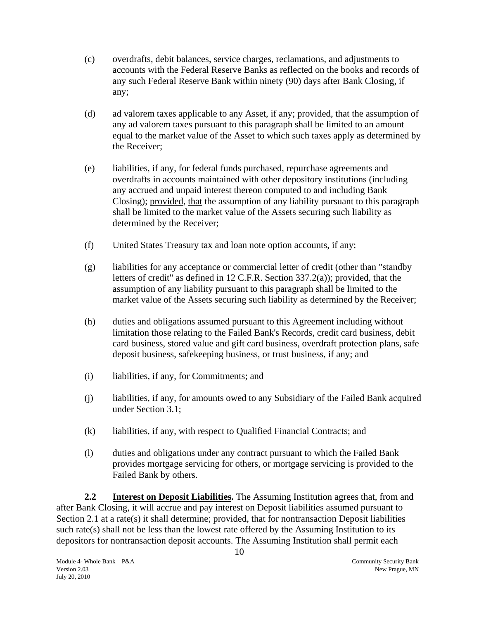- (c) overdrafts, debit balances, service charges, reclamations, and adjustments to accounts with the Federal Reserve Banks as reflected on the books and records of any such Federal Reserve Bank within ninety (90) days after Bank Closing, if any;
- (d) ad valorem taxes applicable to any Asset, if any; provided, that the assumption of any ad valorem taxes pursuant to this paragraph shall be limited to an amount equal to the market value of the Asset to which such taxes apply as determined by the Receiver;
- (e) liabilities, if any, for federal funds purchased, repurchase agreements and overdrafts in accounts maintained with other depository institutions (including any accrued and unpaid interest thereon computed to and including Bank Closing); provided, that the assumption of any liability pursuant to this paragraph shall be limited to the market value of the Assets securing such liability as determined by the Receiver;
- (f) United States Treasury tax and loan note option accounts, if any;
- (g) liabilities for any acceptance or commercial letter of credit (other than "standby letters of credit" as defined in 12 C.F.R. Section 337.2(a)); provided, that the assumption of any liability pursuant to this paragraph shall be limited to the market value of the Assets securing such liability as determined by the Receiver;
- (h) duties and obligations assumed pursuant to this Agreement including without limitation those relating to the Failed Bank's Records, credit card business, debit card business, stored value and gift card business, overdraft protection plans, safe deposit business, safekeeping business, or trust business, if any; and
- (i) liabilities, if any, for Commitments; and
- (j) liabilities, if any, for amounts owed to any Subsidiary of the Failed Bank acquired under Section 3.1;
- (k) liabilities, if any, with respect to Qualified Financial Contracts; and
- (l) duties and obligations under any contract pursuant to which the Failed Bank provides mortgage servicing for others, or mortgage servicing is provided to the Failed Bank by others.

<span id="page-13-0"></span>**2.2 Interest on Deposit Liabilities.** The Assuming Institution agrees that, from and after Bank Closing, it will accrue and pay interest on Deposit liabilities assumed pursuant to Section 2.1 at a rate(s) it shall determine; provided, that for nontransaction Deposit liabilities such rate(s) shall not be less than the lowest rate offered by the Assuming Institution to its depositors for nontransaction deposit accounts. The Assuming Institution shall permit each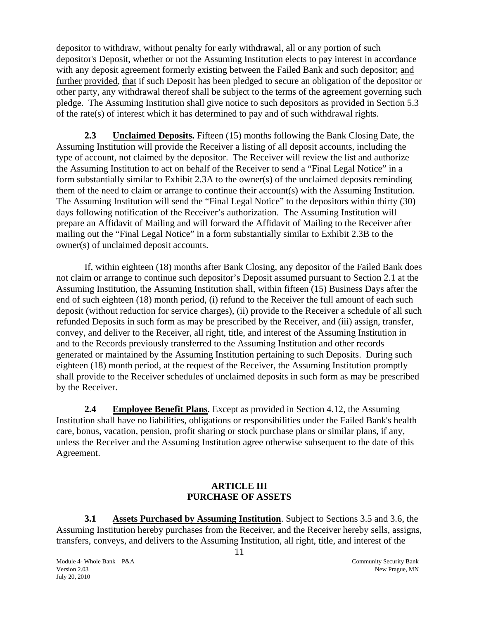depositor to withdraw, without penalty for early withdrawal, all or any portion of such depositor's Deposit, whether or not the Assuming Institution elects to pay interest in accordance with any deposit agreement formerly existing between the Failed Bank and such depositor; and further provided, that if such Deposit has been pledged to secure an obligation of the depositor or other party, any withdrawal thereof shall be subject to the terms of the agreement governing such pledge. The Assuming Institution shall give notice to such depositors as provided in Section 5.3 of the rate(s) of interest which it has determined to pay and of such withdrawal rights.

<span id="page-14-0"></span>**2.3 Unclaimed Deposits.** Fifteen (15) months following the Bank Closing Date, the Assuming Institution will provide the Receiver a listing of all deposit accounts, including the type of account, not claimed by the depositor. The Receiver will review the list and authorize the Assuming Institution to act on behalf of the Receiver to send a "Final Legal Notice" in a form substantially similar to Exhibit 2.3A to the owner(s) of the unclaimed deposits reminding them of the need to claim or arrange to continue their account(s) with the Assuming Institution. The Assuming Institution will send the "Final Legal Notice" to the depositors within thirty (30) days following notification of the Receiver's authorization. The Assuming Institution will prepare an Affidavit of Mailing and will forward the Affidavit of Mailing to the Receiver after mailing out the "Final Legal Notice" in a form substantially similar to Exhibit 2.3B to the owner(s) of unclaimed deposit accounts.

If, within eighteen (18) months after Bank Closing, any depositor of the Failed Bank does not claim or arrange to continue such depositor's Deposit assumed pursuant to Section 2.1 at the Assuming Institution, the Assuming Institution shall, within fifteen (15) Business Days after the end of such eighteen (18) month period, (i) refund to the Receiver the full amount of each such deposit (without reduction for service charges), (ii) provide to the Receiver a schedule of all such refunded Deposits in such form as may be prescribed by the Receiver, and (iii) assign, transfer, convey, and deliver to the Receiver, all right, title, and interest of the Assuming Institution in and to the Records previously transferred to the Assuming Institution and other records generated or maintained by the Assuming Institution pertaining to such Deposits. During such eighteen (18) month period, at the request of the Receiver, the Assuming Institution promptly shall provide to the Receiver schedules of unclaimed deposits in such form as may be prescribed by the Receiver.

<span id="page-14-1"></span>**2.4 Employee Benefit Plans**. Except as provided in Section 4.12, the Assuming Institution shall have no liabilities, obligations or responsibilities under the Failed Bank's health care, bonus, vacation, pension, profit sharing or stock purchase plans or similar plans, if any, unless the Receiver and the Assuming Institution agree otherwise subsequent to the date of this Agreement.

## **ARTICLE III PURCHASE OF ASSETS**

<span id="page-14-3"></span><span id="page-14-2"></span> **3.1 Assets Purchased by Assuming Institution**. Subject to Sections 3.5 and 3.6, the Assuming Institution hereby purchases from the Receiver, and the Receiver hereby sells, assigns, transfers, conveys, and delivers to the Assuming Institution, all right, title, and interest of the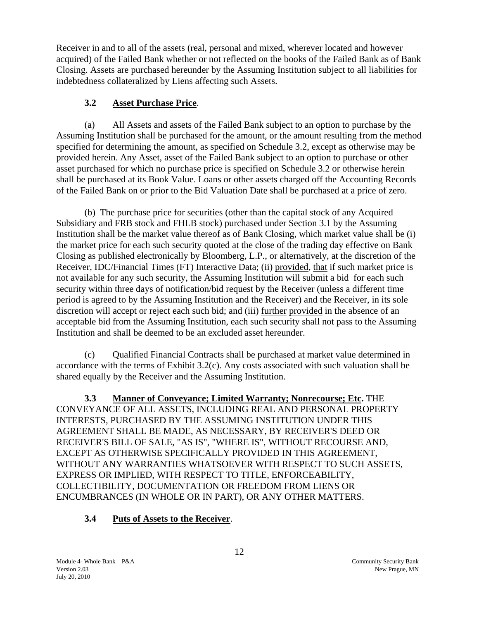Receiver in and to all of the assets (real, personal and mixed, wherever located and however acquired) of the Failed Bank whether or not reflected on the books of the Failed Bank as of Bank Closing. Assets are purchased hereunder by the Assuming Institution subject to all liabilities for indebtedness collateralized by Liens affecting such Assets.

## **3.2 Asset Purchase Price**.

<span id="page-15-0"></span>(a) All Assets and assets of the Failed Bank subject to an option to purchase by the Assuming Institution shall be purchased for the amount, or the amount resulting from the method specified for determining the amount, as specified on Schedule 3.2, except as otherwise may be provided herein. Any Asset, asset of the Failed Bank subject to an option to purchase or other asset purchased for which no purchase price is specified on Schedule 3.2 or otherwise herein shall be purchased at its Book Value. Loans or other assets charged off the Accounting Records of the Failed Bank on or prior to the Bid Valuation Date shall be purchased at a price of zero.

(b) The purchase price for securities (other than the capital stock of any Acquired Subsidiary and FRB stock and FHLB stock) purchased under Section 3.1 by the Assuming Institution shall be the market value thereof as of Bank Closing, which market value shall be (i) the market price for each such security quoted at the close of the trading day effective on Bank Closing as published electronically by Bloomberg, L.P., or alternatively, at the discretion of the Receiver, IDC/Financial Times (FT) Interactive Data; (ii) provided, that if such market price is not available for any such security, the Assuming Institution will submit a bid for each such security within three days of notification/bid request by the Receiver (unless a different time period is agreed to by the Assuming Institution and the Receiver) and the Receiver, in its sole discretion will accept or reject each such bid; and (iii) further provided in the absence of an acceptable bid from the Assuming Institution, each such security shall not pass to the Assuming Institution and shall be deemed to be an excluded asset hereunder.

(c) Qualified Financial Contracts shall be purchased at market value determined in accordance with the terms of Exhibit 3.2(c). Any costs associated with such valuation shall be shared equally by the Receiver and the Assuming Institution.

<span id="page-15-1"></span>**3.3 Manner of Conveyance; Limited Warranty; Nonrecourse; Etc.** THE CONVEYANCE OF ALL ASSETS, INCLUDING REAL AND PERSONAL PROPERTY INTERESTS, PURCHASED BY THE ASSUMING INSTITUTION UNDER THIS AGREEMENT SHALL BE MADE, AS NECESSARY, BY RECEIVER'S DEED OR RECEIVER'S BILL OF SALE, "AS IS", "WHERE IS", WITHOUT RECOURSE AND, EXCEPT AS OTHERWISE SPECIFICALLY PROVIDED IN THIS AGREEMENT, WITHOUT ANY WARRANTIES WHATSOEVER WITH RESPECT TO SUCH ASSETS, EXPRESS OR IMPLIED, WITH RESPECT TO TITLE, ENFORCEABILITY, COLLECTIBILITY, DOCUMENTATION OR FREEDOM FROM LIENS OR ENCUMBRANCES (IN WHOLE OR IN PART), OR ANY OTHER MATTERS.

## <span id="page-15-2"></span>**3.4 Puts of Assets to the Receiver**.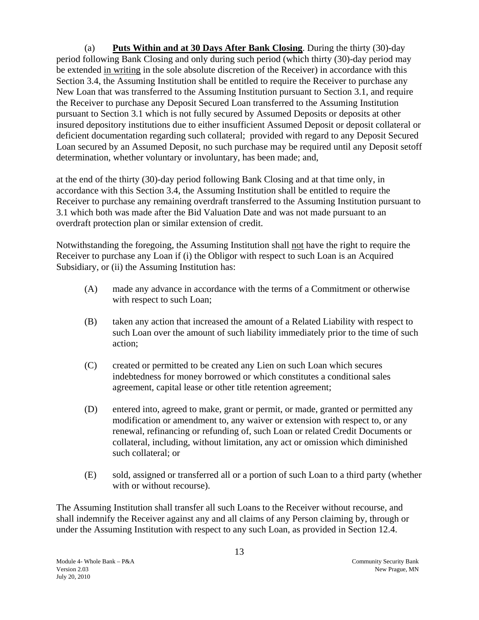(a) **Puts Within and at 30 Days After Bank Closing**. During the thirty (30)-day period following Bank Closing and only during such period (which thirty (30)-day period may be extended in writing in the sole absolute discretion of the Receiver) in accordance with this Section 3.4, the Assuming Institution shall be entitled to require the Receiver to purchase any New Loan that was transferred to the Assuming Institution pursuant to Section 3.1, and require the Receiver to purchase any Deposit Secured Loan transferred to the Assuming Institution pursuant to Section 3.1 which is not fully secured by Assumed Deposits or deposits at other insured depository institutions due to either insufficient Assumed Deposit or deposit collateral or deficient documentation regarding such collateral; provided with regard to any Deposit Secured Loan secured by an Assumed Deposit, no such purchase may be required until any Deposit setoff determination, whether voluntary or involuntary, has been made; and,

at the end of the thirty (30)-day period following Bank Closing and at that time only, in accordance with this Section 3.4, the Assuming Institution shall be entitled to require the Receiver to purchase any remaining overdraft transferred to the Assuming Institution pursuant to 3.1 which both was made after the Bid Valuation Date and was not made pursuant to an overdraft protection plan or similar extension of credit.

Notwithstanding the foregoing, the Assuming Institution shall not have the right to require the Receiver to purchase any Loan if (i) the Obligor with respect to such Loan is an Acquired Subsidiary, or (ii) the Assuming Institution has:

- (A) made any advance in accordance with the terms of a Commitment or otherwise with respect to such Loan;
- (B) taken any action that increased the amount of a Related Liability with respect to such Loan over the amount of such liability immediately prior to the time of such action;
- (C) created or permitted to be created any Lien on such Loan which secures indebtedness for money borrowed or which constitutes a conditional sales agreement, capital lease or other title retention agreement;
- (D) entered into, agreed to make, grant or permit, or made, granted or permitted any modification or amendment to, any waiver or extension with respect to, or any renewal, refinancing or refunding of, such Loan or related Credit Documents or collateral, including, without limitation, any act or omission which diminished such collateral; or
- (E) sold, assigned or transferred all or a portion of such Loan to a third party (whether with or without recourse).

The Assuming Institution shall transfer all such Loans to the Receiver without recourse, and shall indemnify the Receiver against any and all claims of any Person claiming by, through or under the Assuming Institution with respect to any such Loan, as provided in Section 12.4.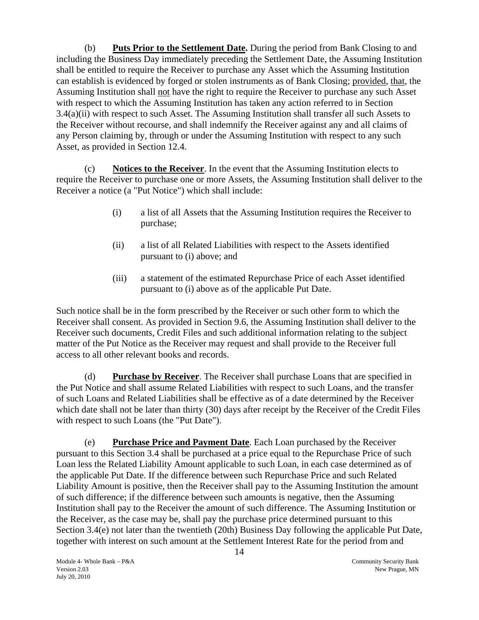(b) **Puts Prior to the Settlement Date.** During the period from Bank Closing to and including the Business Day immediately preceding the Settlement Date, the Assuming Institution shall be entitled to require the Receiver to purchase any Asset which the Assuming Institution can establish is evidenced by forged or stolen instruments as of Bank Closing; provided, that, the Assuming Institution shall not have the right to require the Receiver to purchase any such Asset with respect to which the Assuming Institution has taken any action referred to in Section 3.4(a)(ii) with respect to such Asset. The Assuming Institution shall transfer all such Assets to the Receiver without recourse, and shall indemnify the Receiver against any and all claims of any Person claiming by, through or under the Assuming Institution with respect to any such Asset, as provided in Section 12.4.

(c) **Notices to the Receiver**. In the event that the Assuming Institution elects to require the Receiver to purchase one or more Assets, the Assuming Institution shall deliver to the Receiver a notice (a "Put Notice") which shall include:

- (i) a list of all Assets that the Assuming Institution requires the Receiver to purchase;
- (ii) a list of all Related Liabilities with respect to the Assets identified pursuant to (i) above; and
- (iii) a statement of the estimated Repurchase Price of each Asset identified pursuant to (i) above as of the applicable Put Date.

Such notice shall be in the form prescribed by the Receiver or such other form to which the Receiver shall consent. As provided in Section 9.6, the Assuming Institution shall deliver to the Receiver such documents, Credit Files and such additional information relating to the subject matter of the Put Notice as the Receiver may request and shall provide to the Receiver full access to all other relevant books and records.

(d) **Purchase by Receiver**. The Receiver shall purchase Loans that are specified in the Put Notice and shall assume Related Liabilities with respect to such Loans, and the transfer of such Loans and Related Liabilities shall be effective as of a date determined by the Receiver which date shall not be later than thirty (30) days after receipt by the Receiver of the Credit Files with respect to such Loans (the "Put Date").

(e) **Purchase Price and Payment Date**. Each Loan purchased by the Receiver pursuant to this Section 3.4 shall be purchased at a price equal to the Repurchase Price of such Loan less the Related Liability Amount applicable to such Loan, in each case determined as of the applicable Put Date. If the difference between such Repurchase Price and such Related Liability Amount is positive, then the Receiver shall pay to the Assuming Institution the amount of such difference; if the difference between such amounts is negative, then the Assuming Institution shall pay to the Receiver the amount of such difference. The Assuming Institution or the Receiver, as the case may be, shall pay the purchase price determined pursuant to this Section 3.4(e) not later than the twentieth (20th) Business Day following the applicable Put Date, together with interest on such amount at the Settlement Interest Rate for the period from and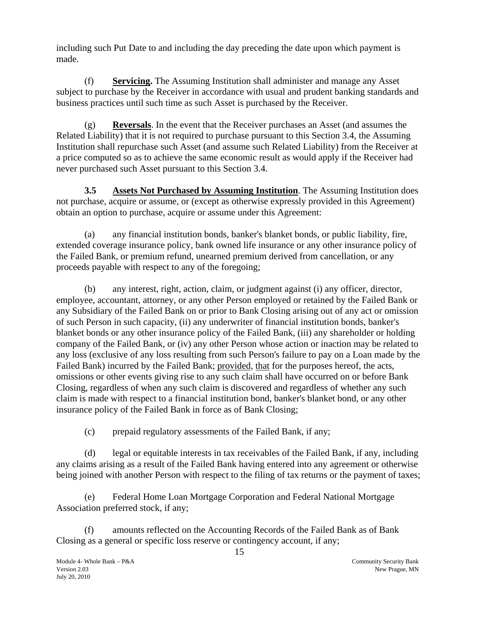including such Put Date to and including the day preceding the date upon which payment is made.

(f) **Servicing.** The Assuming Institution shall administer and manage any Asset subject to purchase by the Receiver in accordance with usual and prudent banking standards and business practices until such time as such Asset is purchased by the Receiver.

(g) **Reversals**. In the event that the Receiver purchases an Asset (and assumes the Related Liability) that it is not required to purchase pursuant to this Section 3.4, the Assuming Institution shall repurchase such Asset (and assume such Related Liability) from the Receiver at a price computed so as to achieve the same economic result as would apply if the Receiver had never purchased such Asset pursuant to this Section 3.4.

<span id="page-18-0"></span>**3.5 Assets Not Purchased by Assuming Institution**. The Assuming Institution does not purchase, acquire or assume, or (except as otherwise expressly provided in this Agreement) obtain an option to purchase, acquire or assume under this Agreement:

(a) any financial institution bonds, banker's blanket bonds, or public liability, fire, extended coverage insurance policy, bank owned life insurance or any other insurance policy of the Failed Bank, or premium refund, unearned premium derived from cancellation, or any proceeds payable with respect to any of the foregoing;

(b) any interest, right, action, claim, or judgment against (i) any officer, director, employee, accountant, attorney, or any other Person employed or retained by the Failed Bank or any Subsidiary of the Failed Bank on or prior to Bank Closing arising out of any act or omission of such Person in such capacity, (ii) any underwriter of financial institution bonds, banker's blanket bonds or any other insurance policy of the Failed Bank, (iii) any shareholder or holding company of the Failed Bank, or (iv) any other Person whose action or inaction may be related to any loss (exclusive of any loss resulting from such Person's failure to pay on a Loan made by the Failed Bank) incurred by the Failed Bank; provided, that for the purposes hereof, the acts, omissions or other events giving rise to any such claim shall have occurred on or before Bank Closing, regardless of when any such claim is discovered and regardless of whether any such claim is made with respect to a financial institution bond, banker's blanket bond, or any other insurance policy of the Failed Bank in force as of Bank Closing;

(c) prepaid regulatory assessments of the Failed Bank, if any;

(d) legal or equitable interests in tax receivables of the Failed Bank, if any, including any claims arising as a result of the Failed Bank having entered into any agreement or otherwise being joined with another Person with respect to the filing of tax returns or the payment of taxes;

(e) Federal Home Loan Mortgage Corporation and Federal National Mortgage Association preferred stock, if any;

(f) amounts reflected on the Accounting Records of the Failed Bank as of Bank Closing as a general or specific loss reserve or contingency account, if any;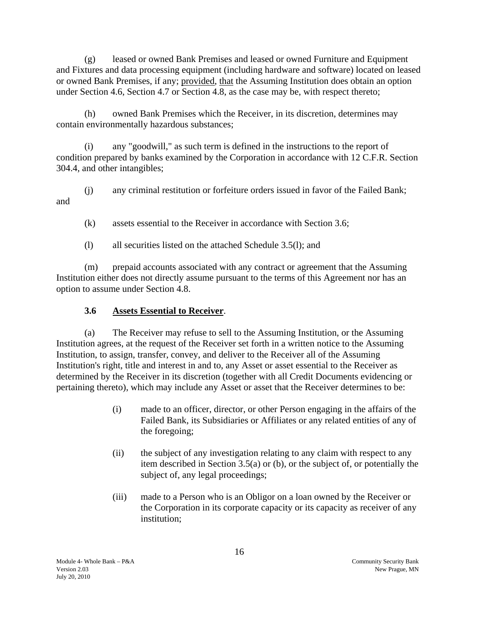(g) leased or owned Bank Premises and leased or owned Furniture and Equipment and Fixtures and data processing equipment (including hardware and software) located on leased or owned Bank Premises, if any; provided, that the Assuming Institution does obtain an option under Section 4.6, Section 4.7 or Section 4.8, as the case may be, with respect thereto;

(h) owned Bank Premises which the Receiver, in its discretion, determines may contain environmentally hazardous substances;

(i) any "goodwill," as such term is defined in the instructions to the report of condition prepared by banks examined by the Corporation in accordance with 12 C.F.R. Section 304.4, and other intangibles;

(j) any criminal restitution or forfeiture orders issued in favor of the Failed Bank; and

(k) assets essential to the Receiver in accordance with Section 3.6;

(l) all securities listed on the attached Schedule 3.5(l); and

(m) prepaid accounts associated with any contract or agreement that the Assuming Institution either does not directly assume pursuant to the terms of this Agreement nor has an option to assume under Section 4.8.

## **3.6 Assets Essential to Receiver**.

<span id="page-19-0"></span>(a) The Receiver may refuse to sell to the Assuming Institution, or the Assuming Institution agrees, at the request of the Receiver set forth in a written notice to the Assuming Institution, to assign, transfer, convey, and deliver to the Receiver all of the Assuming Institution's right, title and interest in and to, any Asset or asset essential to the Receiver as determined by the Receiver in its discretion (together with all Credit Documents evidencing or pertaining thereto), which may include any Asset or asset that the Receiver determines to be:

- (i) made to an officer, director, or other Person engaging in the affairs of the Failed Bank, its Subsidiaries or Affiliates or any related entities of any of the foregoing;
- (ii) the subject of any investigation relating to any claim with respect to any item described in Section 3.5(a) or (b), or the subject of, or potentially the subject of, any legal proceedings;
- (iii) made to a Person who is an Obligor on a loan owned by the Receiver or the Corporation in its corporate capacity or its capacity as receiver of any institution;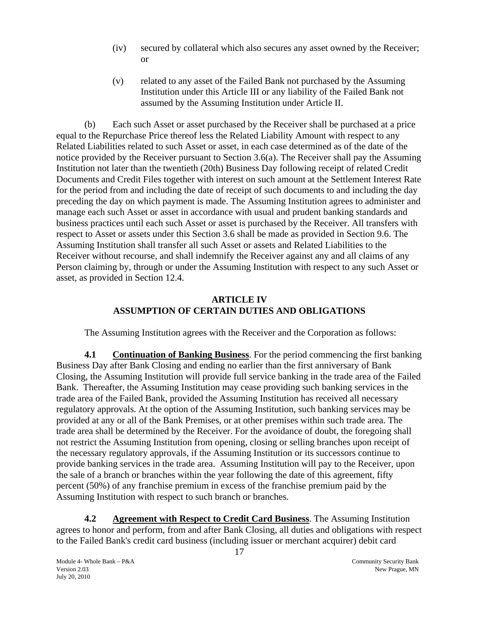- (iv) secured by collateral which also secures any asset owned by the Receiver; or
- (v) related to any asset of the Failed Bank not purchased by the Assuming Institution under this Article III or any liability of the Failed Bank not assumed by the Assuming Institution under Article II.

(b) Each such Asset or asset purchased by the Receiver shall be purchased at a price equal to the Repurchase Price thereof less the Related Liability Amount with respect to any Related Liabilities related to such Asset or asset, in each case determined as of the date of the notice provided by the Receiver pursuant to Section 3.6(a). The Receiver shall pay the Assuming Institution not later than the twentieth (20th) Business Day following receipt of related Credit Documents and Credit Files together with interest on such amount at the Settlement Interest Rate for the period from and including the date of receipt of such documents to and including the day preceding the day on which payment is made. The Assuming Institution agrees to administer and manage each such Asset or asset in accordance with usual and prudent banking standards and business practices until each such Asset or asset is purchased by the Receiver. All transfers with respect to Asset or assets under this Section 3.6 shall be made as provided in Section 9.6. The Assuming Institution shall transfer all such Asset or assets and Related Liabilities to the Receiver without recourse, and shall indemnify the Receiver against any and all claims of any Person claiming by, through or under the Assuming Institution with respect to any such Asset or asset, as provided in Section 12.4.

## **ARTICLE IV ASSUMPTION OF CERTAIN DUTIES AND OBLIGATIONS**

The Assuming Institution agrees with the Receiver and the Corporation as follows:

<span id="page-20-1"></span><span id="page-20-0"></span>**4.1 Continuation of Banking Business**. For the period commencing the first banking Business Day after Bank Closing and ending no earlier than the first anniversary of Bank Closing, the Assuming Institution will provide full service banking in the trade area of the Failed Bank. Thereafter, the Assuming Institution may cease providing such banking services in the trade area of the Failed Bank, provided the Assuming Institution has received all necessary regulatory approvals. At the option of the Assuming Institution, such banking services may be provided at any or all of the Bank Premises, or at other premises within such trade area. The trade area shall be determined by the Receiver. For the avoidance of doubt, the foregoing shall not restrict the Assuming Institution from opening, closing or selling branches upon receipt of the necessary regulatory approvals, if the Assuming Institution or its successors continue to provide banking services in the trade area. Assuming Institution will pay to the Receiver, upon the sale of a branch or branches within the year following the date of this agreement, fifty percent (50%) of any franchise premium in excess of the franchise premium paid by the Assuming Institution with respect to such branch or branches.

<span id="page-20-2"></span>**4.2 Agreement with Respect to Credit Card Business**. The Assuming Institution agrees to honor and perform, from and after Bank Closing, all duties and obligations with respect to the Failed Bank's credit card business (including issuer or merchant acquirer) debit card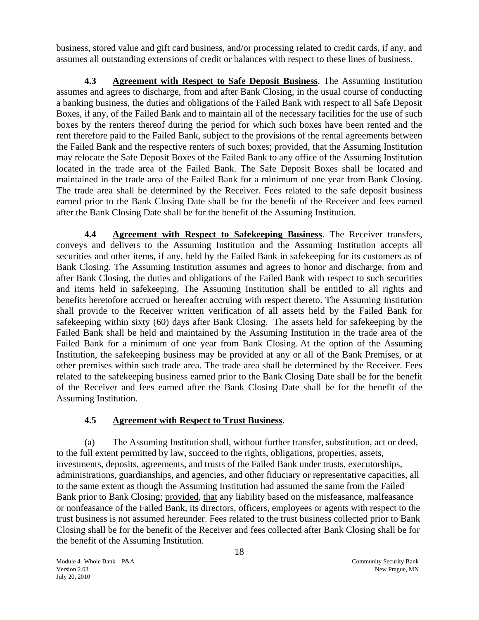business, stored value and gift card business, and/or processing related to credit cards, if any, and assumes all outstanding extensions of credit or balances with respect to these lines of business.

<span id="page-21-0"></span>**4.3 Agreement with Respect to Safe Deposit Business**. The Assuming Institution assumes and agrees to discharge, from and after Bank Closing, in the usual course of conducting a banking business, the duties and obligations of the Failed Bank with respect to all Safe Deposit Boxes, if any, of the Failed Bank and to maintain all of the necessary facilities for the use of such boxes by the renters thereof during the period for which such boxes have been rented and the rent therefore paid to the Failed Bank, subject to the provisions of the rental agreements between the Failed Bank and the respective renters of such boxes; provided, that the Assuming Institution may relocate the Safe Deposit Boxes of the Failed Bank to any office of the Assuming Institution located in the trade area of the Failed Bank. The Safe Deposit Boxes shall be located and maintained in the trade area of the Failed Bank for a minimum of one year from Bank Closing. The trade area shall be determined by the Receiver. Fees related to the safe deposit business earned prior to the Bank Closing Date shall be for the benefit of the Receiver and fees earned after the Bank Closing Date shall be for the benefit of the Assuming Institution.

**4.4 Agreement with Respect to Safekeeping Business**. The Receiver transfers, conveys and delivers to the Assuming Institution and the Assuming Institution accepts all securities and other items, if any, held by the Failed Bank in safekeeping for its customers as of Bank Closing. The Assuming Institution assumes and agrees to honor and discharge, from and after Bank Closing, the duties and obligations of the Failed Bank with respect to such securities and items held in safekeeping. The Assuming Institution shall be entitled to all rights and benefits heretofore accrued or hereafter accruing with respect thereto. The Assuming Institution shall provide to the Receiver written verification of all assets held by the Failed Bank for safekeeping within sixty (60) days after Bank Closing. The assets held for safekeeping by the Failed Bank shall be held and maintained by the Assuming Institution in the trade area of the Failed Bank for a minimum of one year from Bank Closing. At the option of the Assuming Institution, the safekeeping business may be provided at any or all of the Bank Premises, or at other premises within such trade area. The trade area shall be determined by the Receiver. Fees related to the safekeeping business earned prior to the Bank Closing Date shall be for the benefit of the Receiver and fees earned after the Bank Closing Date shall be for the benefit of the Assuming Institution.

## **4.5 Agreement with Respect to Trust Business**.

<span id="page-21-1"></span>(a) The Assuming Institution shall, without further transfer, substitution, act or deed, to the full extent permitted by law, succeed to the rights, obligations, properties, assets, investments, deposits, agreements, and trusts of the Failed Bank under trusts, executorships, administrations, guardianships, and agencies, and other fiduciary or representative capacities, all to the same extent as though the Assuming Institution had assumed the same from the Failed Bank prior to Bank Closing; provided, that any liability based on the misfeasance, malfeasance or nonfeasance of the Failed Bank, its directors, officers, employees or agents with respect to the trust business is not assumed hereunder. Fees related to the trust business collected prior to Bank Closing shall be for the benefit of the Receiver and fees collected after Bank Closing shall be for the benefit of the Assuming Institution.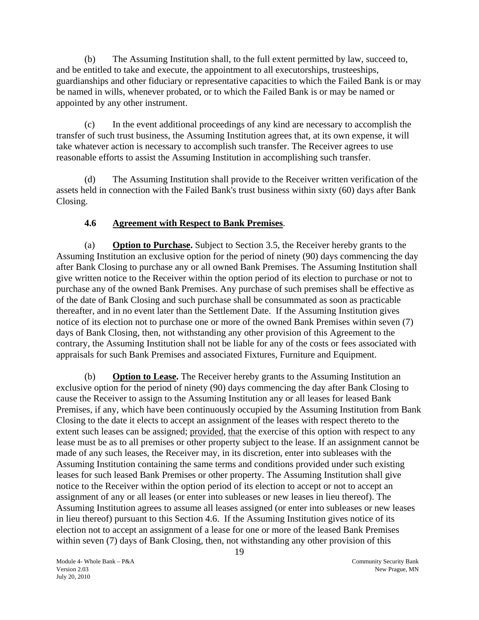(b) The Assuming Institution shall, to the full extent permitted by law, succeed to, and be entitled to take and execute, the appointment to all executorships, trusteeships, guardianships and other fiduciary or representative capacities to which the Failed Bank is or may be named in wills, whenever probated, or to which the Failed Bank is or may be named or appointed by any other instrument.

(c) In the event additional proceedings of any kind are necessary to accomplish the transfer of such trust business, the Assuming Institution agrees that, at its own expense, it will take whatever action is necessary to accomplish such transfer. The Receiver agrees to use reasonable efforts to assist the Assuming Institution in accomplishing such transfer.

(d) The Assuming Institution shall provide to the Receiver written verification of the assets held in connection with the Failed Bank's trust business within sixty (60) days after Bank Closing.

## **4.6 Agreement with Respect to Bank Premises**.

<span id="page-22-0"></span>(a) **Option to Purchase.** Subject to Section 3.5, the Receiver hereby grants to the Assuming Institution an exclusive option for the period of ninety (90) days commencing the day after Bank Closing to purchase any or all owned Bank Premises. The Assuming Institution shall give written notice to the Receiver within the option period of its election to purchase or not to purchase any of the owned Bank Premises. Any purchase of such premises shall be effective as of the date of Bank Closing and such purchase shall be consummated as soon as practicable thereafter, and in no event later than the Settlement Date. If the Assuming Institution gives notice of its election not to purchase one or more of the owned Bank Premises within seven (7) days of Bank Closing, then, not withstanding any other provision of this Agreement to the contrary, the Assuming Institution shall not be liable for any of the costs or fees associated with appraisals for such Bank Premises and associated Fixtures, Furniture and Equipment.

(b) **Option to Lease.** The Receiver hereby grants to the Assuming Institution an exclusive option for the period of ninety (90) days commencing the day after Bank Closing to cause the Receiver to assign to the Assuming Institution any or all leases for leased Bank Premises, if any, which have been continuously occupied by the Assuming Institution from Bank Closing to the date it elects to accept an assignment of the leases with respect thereto to the extent such leases can be assigned; provided, that the exercise of this option with respect to any lease must be as to all premises or other property subject to the lease. If an assignment cannot be made of any such leases, the Receiver may, in its discretion, enter into subleases with the Assuming Institution containing the same terms and conditions provided under such existing leases for such leased Bank Premises or other property. The Assuming Institution shall give notice to the Receiver within the option period of its election to accept or not to accept an assignment of any or all leases (or enter into subleases or new leases in lieu thereof). The Assuming Institution agrees to assume all leases assigned (or enter into subleases or new leases in lieu thereof) pursuant to this Section 4.6. If the Assuming Institution gives notice of its election not to accept an assignment of a lease for one or more of the leased Bank Premises within seven (7) days of Bank Closing, then, not withstanding any other provision of this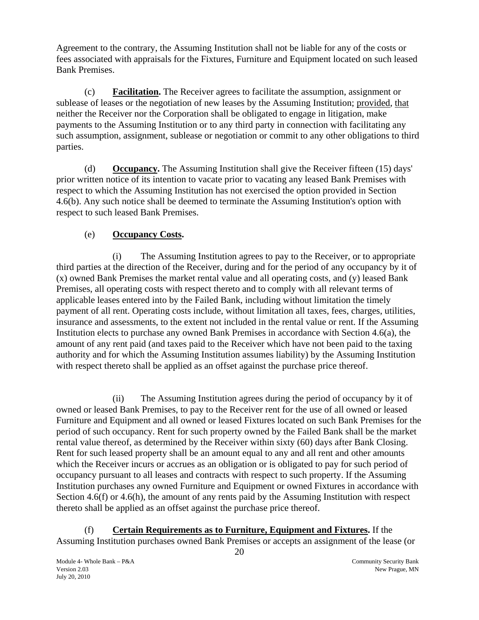Agreement to the contrary, the Assuming Institution shall not be liable for any of the costs or fees associated with appraisals for the Fixtures, Furniture and Equipment located on such leased Bank Premises.

(c) **Facilitation.** The Receiver agrees to facilitate the assumption, assignment or sublease of leases or the negotiation of new leases by the Assuming Institution; provided, that neither the Receiver nor the Corporation shall be obligated to engage in litigation, make payments to the Assuming Institution or to any third party in connection with facilitating any such assumption, assignment, sublease or negotiation or commit to any other obligations to third parties.

(d) **Occupancy.** The Assuming Institution shall give the Receiver fifteen (15) days' prior written notice of its intention to vacate prior to vacating any leased Bank Premises with respect to which the Assuming Institution has not exercised the option provided in Section 4.6(b). Any such notice shall be deemed to terminate the Assuming Institution's option with respect to such leased Bank Premises.

# (e) **Occupancy Costs.**

(i) The Assuming Institution agrees to pay to the Receiver, or to appropriate third parties at the direction of the Receiver, during and for the period of any occupancy by it of (x) owned Bank Premises the market rental value and all operating costs, and (y) leased Bank Premises, all operating costs with respect thereto and to comply with all relevant terms of applicable leases entered into by the Failed Bank, including without limitation the timely payment of all rent. Operating costs include, without limitation all taxes, fees, charges, utilities, insurance and assessments, to the extent not included in the rental value or rent. If the Assuming Institution elects to purchase any owned Bank Premises in accordance with Section 4.6(a), the amount of any rent paid (and taxes paid to the Receiver which have not been paid to the taxing authority and for which the Assuming Institution assumes liability) by the Assuming Institution with respect thereto shall be applied as an offset against the purchase price thereof.

(ii) The Assuming Institution agrees during the period of occupancy by it of owned or leased Bank Premises, to pay to the Receiver rent for the use of all owned or leased Furniture and Equipment and all owned or leased Fixtures located on such Bank Premises for the period of such occupancy. Rent for such property owned by the Failed Bank shall be the market rental value thereof, as determined by the Receiver within sixty (60) days after Bank Closing. Rent for such leased property shall be an amount equal to any and all rent and other amounts which the Receiver incurs or accrues as an obligation or is obligated to pay for such period of occupancy pursuant to all leases and contracts with respect to such property. If the Assuming Institution purchases any owned Furniture and Equipment or owned Fixtures in accordance with Section 4.6(f) or 4.6(h), the amount of any rents paid by the Assuming Institution with respect thereto shall be applied as an offset against the purchase price thereof.

(f) **Certain Requirements as to Furniture, Equipment and Fixtures.** If the Assuming Institution purchases owned Bank Premises or accepts an assignment of the lease (or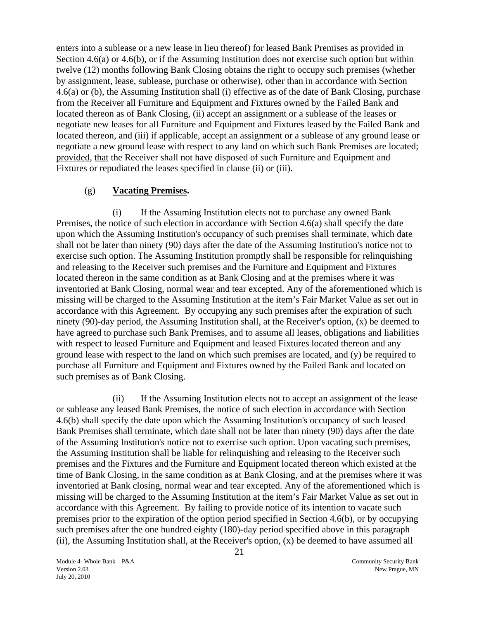enters into a sublease or a new lease in lieu thereof) for leased Bank Premises as provided in Section 4.6(a) or 4.6(b), or if the Assuming Institution does not exercise such option but within twelve (12) months following Bank Closing obtains the right to occupy such premises (whether by assignment, lease, sublease, purchase or otherwise), other than in accordance with Section 4.6(a) or (b), the Assuming Institution shall (i) effective as of the date of Bank Closing, purchase from the Receiver all Furniture and Equipment and Fixtures owned by the Failed Bank and located thereon as of Bank Closing, (ii) accept an assignment or a sublease of the leases or negotiate new leases for all Furniture and Equipment and Fixtures leased by the Failed Bank and located thereon, and (iii) if applicable, accept an assignment or a sublease of any ground lease or negotiate a new ground lease with respect to any land on which such Bank Premises are located; provided, that the Receiver shall not have disposed of such Furniture and Equipment and Fixtures or repudiated the leases specified in clause (ii) or (iii).

#### (g) **Vacating Premises.**

(i) If the Assuming Institution elects not to purchase any owned Bank Premises, the notice of such election in accordance with Section 4.6(a) shall specify the date upon which the Assuming Institution's occupancy of such premises shall terminate, which date shall not be later than ninety (90) days after the date of the Assuming Institution's notice not to exercise such option. The Assuming Institution promptly shall be responsible for relinquishing and releasing to the Receiver such premises and the Furniture and Equipment and Fixtures located thereon in the same condition as at Bank Closing and at the premises where it was inventoried at Bank Closing, normal wear and tear excepted. Any of the aforementioned which is missing will be charged to the Assuming Institution at the item's Fair Market Value as set out in accordance with this Agreement. By occupying any such premises after the expiration of such ninety (90)-day period, the Assuming Institution shall, at the Receiver's option, (x) be deemed to have agreed to purchase such Bank Premises, and to assume all leases, obligations and liabilities with respect to leased Furniture and Equipment and leased Fixtures located thereon and any ground lease with respect to the land on which such premises are located, and (y) be required to purchase all Furniture and Equipment and Fixtures owned by the Failed Bank and located on such premises as of Bank Closing.

(ii) If the Assuming Institution elects not to accept an assignment of the lease or sublease any leased Bank Premises, the notice of such election in accordance with Section 4.6(b) shall specify the date upon which the Assuming Institution's occupancy of such leased Bank Premises shall terminate, which date shall not be later than ninety (90) days after the date of the Assuming Institution's notice not to exercise such option. Upon vacating such premises, the Assuming Institution shall be liable for relinquishing and releasing to the Receiver such premises and the Fixtures and the Furniture and Equipment located thereon which existed at the time of Bank Closing, in the same condition as at Bank Closing, and at the premises where it was inventoried at Bank closing, normal wear and tear excepted. Any of the aforementioned which is missing will be charged to the Assuming Institution at the item's Fair Market Value as set out in accordance with this Agreement. By failing to provide notice of its intention to vacate such premises prior to the expiration of the option period specified in Section 4.6(b), or by occupying such premises after the one hundred eighty (180)-day period specified above in this paragraph (ii), the Assuming Institution shall, at the Receiver's option, (x) be deemed to have assumed all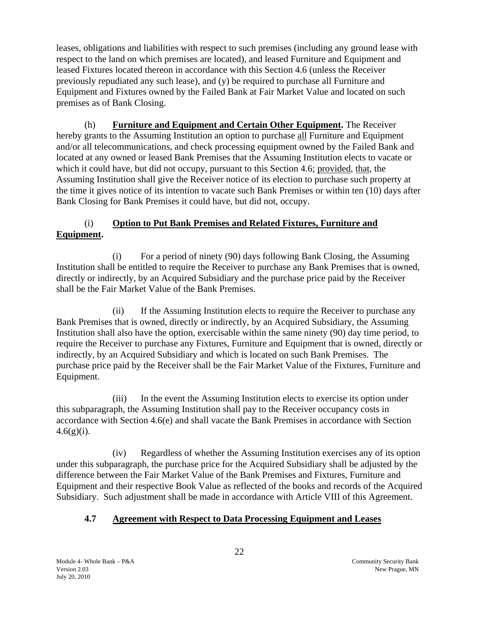leases, obligations and liabilities with respect to such premises (including any ground lease with respect to the land on which premises are located), and leased Furniture and Equipment and leased Fixtures located thereon in accordance with this Section 4.6 (unless the Receiver previously repudiated any such lease), and (y) be required to purchase all Furniture and Equipment and Fixtures owned by the Failed Bank at Fair Market Value and located on such premises as of Bank Closing.

(h) **Furniture and Equipment and Certain Other Equipment.** The Receiver hereby grants to the Assuming Institution an option to purchase all Furniture and Equipment and/or all telecommunications, and check processing equipment owned by the Failed Bank and located at any owned or leased Bank Premises that the Assuming Institution elects to vacate or which it could have, but did not occupy, pursuant to this Section 4.6; provided, that, the Assuming Institution shall give the Receiver notice of its election to purchase such property at the time it gives notice of its intention to vacate such Bank Premises or within ten (10) days after Bank Closing for Bank Premises it could have, but did not, occupy.

## (i) **Option to Put Bank Premises and Related Fixtures, Furniture and Equipment.**

(i) For a period of ninety (90) days following Bank Closing, the Assuming Institution shall be entitled to require the Receiver to purchase any Bank Premises that is owned, directly or indirectly, by an Acquired Subsidiary and the purchase price paid by the Receiver shall be the Fair Market Value of the Bank Premises.

(ii) If the Assuming Institution elects to require the Receiver to purchase any Bank Premises that is owned, directly or indirectly, by an Acquired Subsidiary, the Assuming Institution shall also have the option, exercisable within the same ninety (90) day time period, to require the Receiver to purchase any Fixtures, Furniture and Equipment that is owned, directly or indirectly, by an Acquired Subsidiary and which is located on such Bank Premises. The purchase price paid by the Receiver shall be the Fair Market Value of the Fixtures, Furniture and Equipment.

(iii) In the event the Assuming Institution elects to exercise its option under this subparagraph, the Assuming Institution shall pay to the Receiver occupancy costs in accordance with Section 4.6(e) and shall vacate the Bank Premises in accordance with Section  $4.6(g)(i)$ .

(iv) Regardless of whether the Assuming Institution exercises any of its option under this subparagraph, the purchase price for the Acquired Subsidiary shall be adjusted by the difference between the Fair Market Value of the Bank Premises and Fixtures, Furniture and Equipment and their respective Book Value as reflected of the books and records of the Acquired Subsidiary. Such adjustment shall be made in accordance with Article VIII of this Agreement.

# <span id="page-25-0"></span>**4.7 Agreement with Respect to Data Processing Equipment and Leases**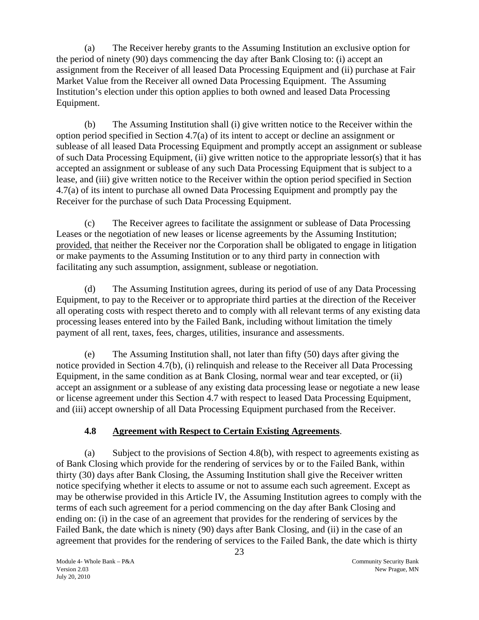(a) The Receiver hereby grants to the Assuming Institution an exclusive option for the period of ninety (90) days commencing the day after Bank Closing to: (i) accept an assignment from the Receiver of all leased Data Processing Equipment and (ii) purchase at Fair Market Value from the Receiver all owned Data Processing Equipment. The Assuming Institution's election under this option applies to both owned and leased Data Processing Equipment.

(b) The Assuming Institution shall (i) give written notice to the Receiver within the option period specified in Section 4.7(a) of its intent to accept or decline an assignment or sublease of all leased Data Processing Equipment and promptly accept an assignment or sublease of such Data Processing Equipment, (ii) give written notice to the appropriate lessor(s) that it has accepted an assignment or sublease of any such Data Processing Equipment that is subject to a lease, and (iii) give written notice to the Receiver within the option period specified in Section 4.7(a) of its intent to purchase all owned Data Processing Equipment and promptly pay the Receiver for the purchase of such Data Processing Equipment.

(c) The Receiver agrees to facilitate the assignment or sublease of Data Processing Leases or the negotiation of new leases or license agreements by the Assuming Institution; provided, that neither the Receiver nor the Corporation shall be obligated to engage in litigation or make payments to the Assuming Institution or to any third party in connection with facilitating any such assumption, assignment, sublease or negotiation.

(d) The Assuming Institution agrees, during its period of use of any Data Processing Equipment, to pay to the Receiver or to appropriate third parties at the direction of the Receiver all operating costs with respect thereto and to comply with all relevant terms of any existing data processing leases entered into by the Failed Bank, including without limitation the timely payment of all rent, taxes, fees, charges, utilities, insurance and assessments.

(e) The Assuming Institution shall, not later than fifty (50) days after giving the notice provided in Section 4.7(b), (i) relinquish and release to the Receiver all Data Processing Equipment, in the same condition as at Bank Closing, normal wear and tear excepted, or (ii) accept an assignment or a sublease of any existing data processing lease or negotiate a new lease or license agreement under this Section 4.7 with respect to leased Data Processing Equipment, and (iii) accept ownership of all Data Processing Equipment purchased from the Receiver.

## **4.8 Agreement with Respect to Certain Existing Agreements**.

<span id="page-26-0"></span>(a) Subject to the provisions of Section 4.8(b), with respect to agreements existing as of Bank Closing which provide for the rendering of services by or to the Failed Bank, within thirty (30) days after Bank Closing, the Assuming Institution shall give the Receiver written notice specifying whether it elects to assume or not to assume each such agreement. Except as may be otherwise provided in this Article IV, the Assuming Institution agrees to comply with the terms of each such agreement for a period commencing on the day after Bank Closing and ending on: (i) in the case of an agreement that provides for the rendering of services by the Failed Bank, the date which is ninety (90) days after Bank Closing, and (ii) in the case of an agreement that provides for the rendering of services to the Failed Bank, the date which is thirty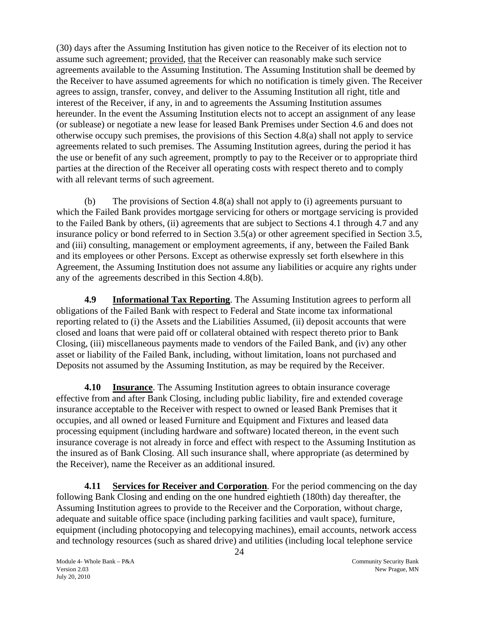<span id="page-27-2"></span>(30) days after the Assuming Institution has given notice to the Receiver of its election not to assume such agreement; provided, that the Receiver can reasonably make such service agreements available to the Assuming Institution. The Assuming Institution shall be deemed by the Receiver to have assumed agreements for which no notification is timely given. The Receiver agrees to assign, transfer, convey, and deliver to the Assuming Institution all right, title and interest of the Receiver, if any, in and to agreements the Assuming Institution assumes hereunder. In the event the Assuming Institution elects not to accept an assignment of any lease (or sublease) or negotiate a new lease for leased Bank Premises under Section 4.6 and does not otherwise occupy such premises, the provisions of this Section 4.8(a) shall not apply to service agreements related to such premises. The Assuming Institution agrees, during the period it has the use or benefit of any such agreement, promptly to pay to the Receiver or to appropriate third parties at the direction of the Receiver all operating costs with respect thereto and to comply with all relevant terms of such agreement.

(b) The provisions of Section 4.8(a) shall not apply to (i) agreements pursuant to which the Failed Bank provides mortgage servicing for others or mortgage servicing is provided to the Failed Bank by others, (ii) agreements that are subject to Sections 4.1 through 4.7 and any insurance policy or bond referred to in Section 3.5(a) or other agreement specified in Section 3.5, and (iii) consulting, management or employment agreements, if any, between the Failed Bank and its employees or other Persons. Except as otherwise expressly set forth elsewhere in this Agreement, the Assuming Institution does not assume any liabilities or acquire any rights under any of the agreements described in this Section 4.8(b).

<span id="page-27-0"></span>**4.9** Informational Tax Reporting. The Assuming Institution agrees to perform all obligations of the Failed Bank with respect to Federal and State income tax informational reporting related to (i) the Assets and the Liabilities Assumed, (ii) deposit accounts that were closed and loans that were paid off or collateral obtained with respect thereto prior to Bank Closing, (iii) miscellaneous payments made to vendors of the Failed Bank, and (iv) any other asset or liability of the Failed Bank, including, without limitation, loans not purchased and Deposits not assumed by the Assuming Institution, as may be required by the Receiver.

<span id="page-27-1"></span>**4.10 Insurance**. The Assuming Institution agrees to obtain insurance coverage effective from and after Bank Closing, including public liability, fire and extended coverage insurance acceptable to the Receiver with respect to owned or leased Bank Premises that it occupies, and all owned or leased Furniture and Equipment and Fixtures and leased data processing equipment (including hardware and software) located thereon, in the event such insurance coverage is not already in force and effect with respect to the Assuming Institution as the insured as of Bank Closing. All such insurance shall, where appropriate (as determined by the Receiver), name the Receiver as an additional insured.

**4.11 Services for Receiver and Corporation**. For the period commencing on the day following Bank Closing and ending on the one hundred eightieth (180th) day thereafter, the Assuming Institution agrees to provide to the Receiver and the Corporation, without charge, adequate and suitable office space (including parking facilities and vault space), furniture, equipment (including photocopying and telecopying machines), email accounts, network access and technology resources (such as shared drive) and utilities (including local telephone service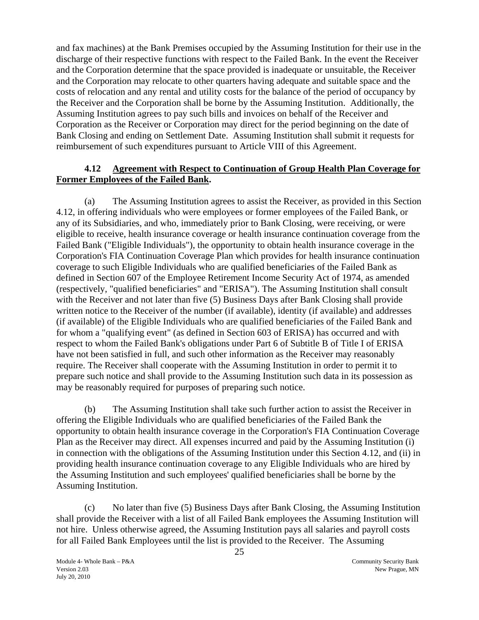and fax machines) at the Bank Premises occupied by the Assuming Institution for their use in the discharge of their respective functions with respect to the Failed Bank. In the event the Receiver and the Corporation determine that the space provided is inadequate or unsuitable, the Receiver and the Corporation may relocate to other quarters having adequate and suitable space and the costs of relocation and any rental and utility costs for the balance of the period of occupancy by the Receiver and the Corporation shall be borne by the Assuming Institution. Additionally, the Assuming Institution agrees to pay such bills and invoices on behalf of the Receiver and Corporation as the Receiver or Corporation may direct for the period beginning on the date of Bank Closing and ending on Settlement Date. Assuming Institution shall submit it requests for reimbursement of such expenditures pursuant to Article VIII of this Agreement.

#### <span id="page-28-0"></span>**4.12 Agreement with Respect to Continuation of Group Health Plan Coverage for Former Employees of the Failed Bank.**

(a) The Assuming Institution agrees to assist the Receiver, as provided in this Section 4.12, in offering individuals who were employees or former employees of the Failed Bank, or any of its Subsidiaries, and who, immediately prior to Bank Closing, were receiving, or were eligible to receive, health insurance coverage or health insurance continuation coverage from the Failed Bank ("Eligible Individuals"), the opportunity to obtain health insurance coverage in the Corporation's FIA Continuation Coverage Plan which provides for health insurance continuation coverage to such Eligible Individuals who are qualified beneficiaries of the Failed Bank as defined in Section 607 of the Employee Retirement Income Security Act of 1974, as amended (respectively, "qualified beneficiaries" and "ERISA"). The Assuming Institution shall consult with the Receiver and not later than five (5) Business Days after Bank Closing shall provide written notice to the Receiver of the number (if available), identity (if available) and addresses (if available) of the Eligible Individuals who are qualified beneficiaries of the Failed Bank and for whom a "qualifying event" (as defined in Section 603 of ERISA) has occurred and with respect to whom the Failed Bank's obligations under Part 6 of Subtitle B of Title I of ERISA have not been satisfied in full, and such other information as the Receiver may reasonably require. The Receiver shall cooperate with the Assuming Institution in order to permit it to prepare such notice and shall provide to the Assuming Institution such data in its possession as may be reasonably required for purposes of preparing such notice.

(b) The Assuming Institution shall take such further action to assist the Receiver in offering the Eligible Individuals who are qualified beneficiaries of the Failed Bank the opportunity to obtain health insurance coverage in the Corporation's FIA Continuation Coverage Plan as the Receiver may direct. All expenses incurred and paid by the Assuming Institution (i) in connection with the obligations of the Assuming Institution under this Section 4.12, and (ii) in providing health insurance continuation coverage to any Eligible Individuals who are hired by the Assuming Institution and such employees' qualified beneficiaries shall be borne by the Assuming Institution.

(c) No later than five (5) Business Days after Bank Closing, the Assuming Institution shall provide the Receiver with a list of all Failed Bank employees the Assuming Institution will not hire. Unless otherwise agreed, the Assuming Institution pays all salaries and payroll costs for all Failed Bank Employees until the list is provided to the Receiver. The Assuming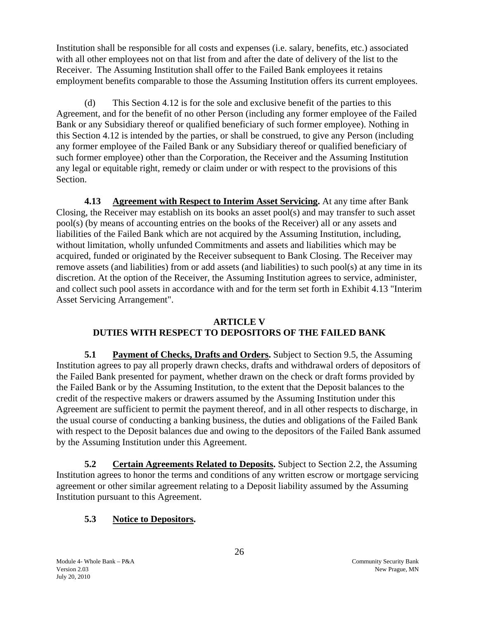Institution shall be responsible for all costs and expenses (i.e. salary, benefits, etc.) associated with all other employees not on that list from and after the date of delivery of the list to the Receiver. The Assuming Institution shall offer to the Failed Bank employees it retains employment benefits comparable to those the Assuming Institution offers its current employees.

(d) This Section 4.12 is for the sole and exclusive benefit of the parties to this Agreement, and for the benefit of no other Person (including any former employee of the Failed Bank or any Subsidiary thereof or qualified beneficiary of such former employee). Nothing in this Section 4.12 is intended by the parties, or shall be construed, to give any Person (including any former employee of the Failed Bank or any Subsidiary thereof or qualified beneficiary of such former employee) other than the Corporation, the Receiver and the Assuming Institution any legal or equitable right, remedy or claim under or with respect to the provisions of this Section.

<span id="page-29-0"></span>**4.13** Agreement with Respect to Interim Asset Servicing. At any time after Bank Closing, the Receiver may establish on its books an asset pool(s) and may transfer to such asset pool(s) (by means of accounting entries on the books of the Receiver) all or any assets and liabilities of the Failed Bank which are not acquired by the Assuming Institution, including, without limitation, wholly unfunded Commitments and assets and liabilities which may be acquired, funded or originated by the Receiver subsequent to Bank Closing. The Receiver may remove assets (and liabilities) from or add assets (and liabilities) to such pool(s) at any time in its discretion. At the option of the Receiver, the Assuming Institution agrees to service, administer, and collect such pool assets in accordance with and for the term set forth in Exhibit 4.13 "Interim Asset Servicing Arrangement".

## **ARTICLE V DUTIES WITH RESPECT TO DEPOSITORS OF THE FAILED BANK**

<span id="page-29-2"></span><span id="page-29-1"></span>**5.1 Payment of Checks, Drafts and Orders.** Subject to Section 9.5, the Assuming Institution agrees to pay all properly drawn checks, drafts and withdrawal orders of depositors of the Failed Bank presented for payment, whether drawn on the check or draft forms provided by the Failed Bank or by the Assuming Institution, to the extent that the Deposit balances to the credit of the respective makers or drawers assumed by the Assuming Institution under this Agreement are sufficient to permit the payment thereof, and in all other respects to discharge, in the usual course of conducting a banking business, the duties and obligations of the Failed Bank with respect to the Deposit balances due and owing to the depositors of the Failed Bank assumed by the Assuming Institution under this Agreement.

<span id="page-29-3"></span>**5.2 Certain Agreements Related to Deposits.** Subject to Section 2.2, the Assuming Institution agrees to honor the terms and conditions of any written escrow or mortgage servicing agreement or other similar agreement relating to a Deposit liability assumed by the Assuming Institution pursuant to this Agreement.

## **5.3 Notice to Depositors.**

<span id="page-29-4"></span>Module 4- Whole Bank – P&A Community Security Bank Version 2.03 New Prague, MN July 20, 2010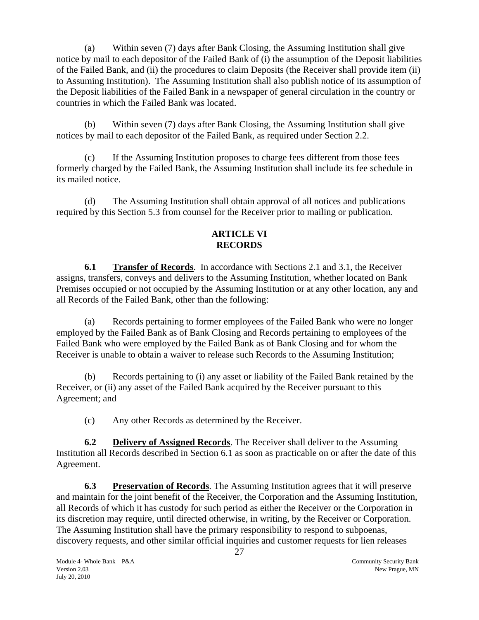(a) Within seven (7) days after Bank Closing, the Assuming Institution shall give notice by mail to each depositor of the Failed Bank of (i) the assumption of the Deposit liabilities of the Failed Bank, and (ii) the procedures to claim Deposits (the Receiver shall provide item (ii) to Assuming Institution). The Assuming Institution shall also publish notice of its assumption of the Deposit liabilities of the Failed Bank in a newspaper of general circulation in the country or countries in which the Failed Bank was located.

(b) Within seven (7) days after Bank Closing, the Assuming Institution shall give notices by mail to each depositor of the Failed Bank, as required under Section 2.2.

(c) If the Assuming Institution proposes to charge fees different from those fees formerly charged by the Failed Bank, the Assuming Institution shall include its fee schedule in its mailed notice.

(d) The Assuming Institution shall obtain approval of all notices and publications required by this Section 5.3 from counsel for the Receiver prior to mailing or publication.

## **ARTICLE VI RECORDS**

<span id="page-30-1"></span><span id="page-30-0"></span>**6.1** Transfer of Records. In accordance with Sections 2.1 and 3.1, the Receiver assigns, transfers, conveys and delivers to the Assuming Institution, whether located on Bank Premises occupied or not occupied by the Assuming Institution or at any other location, any and all Records of the Failed Bank, other than the following:

(a) Records pertaining to former employees of the Failed Bank who were no longer employed by the Failed Bank as of Bank Closing and Records pertaining to employees of the Failed Bank who were employed by the Failed Bank as of Bank Closing and for whom the Receiver is unable to obtain a waiver to release such Records to the Assuming Institution;

(b) Records pertaining to (i) any asset or liability of the Failed Bank retained by the Receiver, or (ii) any asset of the Failed Bank acquired by the Receiver pursuant to this Agreement; and

(c) Any other Records as determined by the Receiver.

<span id="page-30-2"></span>**6.2 Delivery of Assigned Records**. The Receiver shall deliver to the Assuming Institution all Records described in Section 6.1 as soon as practicable on or after the date of this Agreement.

<span id="page-30-3"></span>**6.3** Preservation of Records. The Assuming Institution agrees that it will preserve and maintain for the joint benefit of the Receiver, the Corporation and the Assuming Institution, all Records of which it has custody for such period as either the Receiver or the Corporation in its discretion may require, until directed otherwise, in writing, by the Receiver or Corporation. The Assuming Institution shall have the primary responsibility to respond to subpoenas, discovery requests, and other similar official inquiries and customer requests for lien releases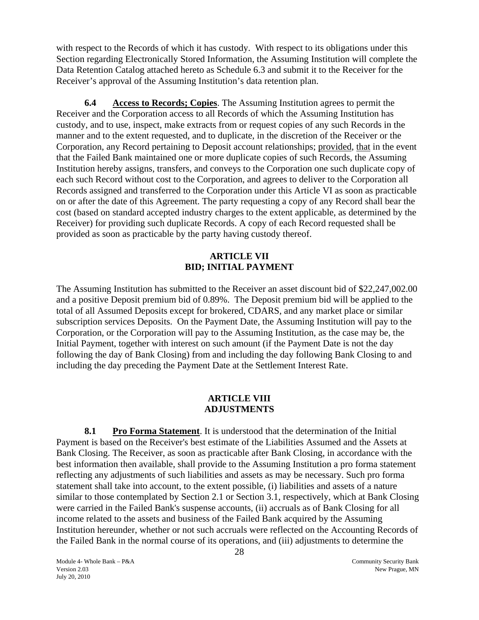with respect to the Records of which it has custody. With respect to its obligations under this Section regarding Electronically Stored Information, the Assuming Institution will complete the Data Retention Catalog attached hereto as Schedule 6.3 and submit it to the Receiver for the Receiver's approval of the Assuming Institution's data retention plan.

**6.4 Access to Records; Copies**. The Assuming Institution agrees to permit the Receiver and the Corporation access to all Records of which the Assuming Institution has custody, and to use, inspect, make extracts from or request copies of any such Records in the manner and to the extent requested, and to duplicate, in the discretion of the Receiver or the Corporation, any Record pertaining to Deposit account relationships; provided, that in the event that the Failed Bank maintained one or more duplicate copies of such Records, the Assuming Institution hereby assigns, transfers, and conveys to the Corporation one such duplicate copy of each such Record without cost to the Corporation, and agrees to deliver to the Corporation all Records assigned and transferred to the Corporation under this Article VI as soon as practicable on or after the date of this Agreement. The party requesting a copy of any Record shall bear the cost (based on standard accepted industry charges to the extent applicable, as determined by the Receiver) for providing such duplicate Records. A copy of each Record requested shall be provided as soon as practicable by the party having custody thereof.

#### **ARTICLE VII BID; INITIAL PAYMENT**

<span id="page-31-0"></span>The Assuming Institution has submitted to the Receiver an asset discount bid of \$22,247,002.00 and a positive Deposit premium bid of 0.89%. The Deposit premium bid will be applied to the total of all Assumed Deposits except for brokered, CDARS, and any market place or similar subscription services Deposits. On the Payment Date, the Assuming Institution will pay to the Corporation, or the Corporation will pay to the Assuming Institution, as the case may be, the Initial Payment, together with interest on such amount (if the Payment Date is not the day following the day of Bank Closing) from and including the day following Bank Closing to and including the day preceding the Payment Date at the Settlement Interest Rate.

#### **ARTICLE VIII ADJUSTMENTS**

<span id="page-31-2"></span><span id="page-31-1"></span>**8.1 Pro Forma Statement**. It is understood that the determination of the Initial Payment is based on the Receiver's best estimate of the Liabilities Assumed and the Assets at Bank Closing. The Receiver, as soon as practicable after Bank Closing, in accordance with the best information then available, shall provide to the Assuming Institution a pro forma statement reflecting any adjustments of such liabilities and assets as may be necessary. Such pro forma statement shall take into account, to the extent possible, (i) liabilities and assets of a nature similar to those contemplated by Section 2.1 or Section 3.1, respectively, which at Bank Closing were carried in the Failed Bank's suspense accounts, (ii) accruals as of Bank Closing for all income related to the assets and business of the Failed Bank acquired by the Assuming Institution hereunder, whether or not such accruals were reflected on the Accounting Records of the Failed Bank in the normal course of its operations, and (iii) adjustments to determine the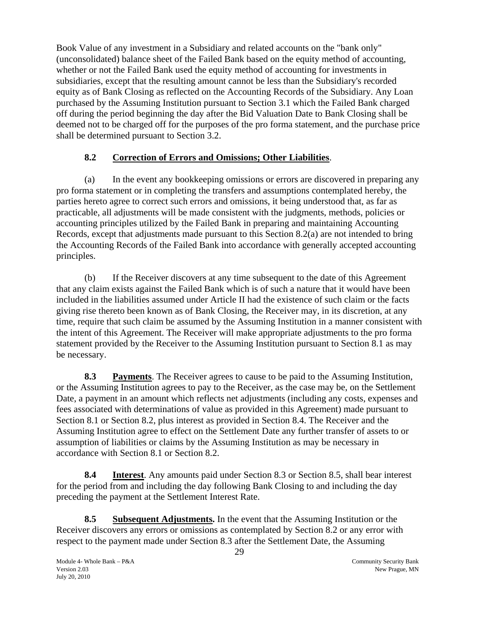Book Value of any investment in a Subsidiary and related accounts on the "bank only" (unconsolidated) balance sheet of the Failed Bank based on the equity method of accounting, whether or not the Failed Bank used the equity method of accounting for investments in subsidiaries, except that the resulting amount cannot be less than the Subsidiary's recorded equity as of Bank Closing as reflected on the Accounting Records of the Subsidiary. Any Loan purchased by the Assuming Institution pursuant to Section 3.1 which the Failed Bank charged off during the period beginning the day after the Bid Valuation Date to Bank Closing shall be deemed not to be charged off for the purposes of the pro forma statement, and the purchase price shall be determined pursuant to Section 3.2.

## **8.2 Correction of Errors and Omissions; Other Liabilities**.

<span id="page-32-0"></span>(a) In the event any bookkeeping omissions or errors are discovered in preparing any pro forma statement or in completing the transfers and assumptions contemplated hereby, the parties hereto agree to correct such errors and omissions, it being understood that, as far as practicable, all adjustments will be made consistent with the judgments, methods, policies or accounting principles utilized by the Failed Bank in preparing and maintaining Accounting Records, except that adjustments made pursuant to this Section 8.2(a) are not intended to bring the Accounting Records of the Failed Bank into accordance with generally accepted accounting principles.

(b) If the Receiver discovers at any time subsequent to the date of this Agreement that any claim exists against the Failed Bank which is of such a nature that it would have been included in the liabilities assumed under Article II had the existence of such claim or the facts giving rise thereto been known as of Bank Closing, the Receiver may, in its discretion, at any time, require that such claim be assumed by the Assuming Institution in a manner consistent with the intent of this Agreement. The Receiver will make appropriate adjustments to the pro forma statement provided by the Receiver to the Assuming Institution pursuant to Section 8.1 as may be necessary.

<span id="page-32-1"></span>**8.3 Payments**. The Receiver agrees to cause to be paid to the Assuming Institution, or the Assuming Institution agrees to pay to the Receiver, as the case may be, on the Settlement Date, a payment in an amount which reflects net adjustments (including any costs, expenses and fees associated with determinations of value as provided in this Agreement) made pursuant to Section 8.1 or Section 8.2, plus interest as provided in Section 8.4. The Receiver and the Assuming Institution agree to effect on the Settlement Date any further transfer of assets to or assumption of liabilities or claims by the Assuming Institution as may be necessary in accordance with Section 8.1 or Section 8.2.

<span id="page-32-2"></span>**8.4 Interest**. Any amounts paid under Section 8.3 or Section 8.5, shall bear interest for the period from and including the day following Bank Closing to and including the day preceding the payment at the Settlement Interest Rate.

<span id="page-32-3"></span>**8.5 Subsequent Adjustments.** In the event that the Assuming Institution or the Receiver discovers any errors or omissions as contemplated by Section 8.2 or any error with respect to the payment made under Section 8.3 after the Settlement Date, the Assuming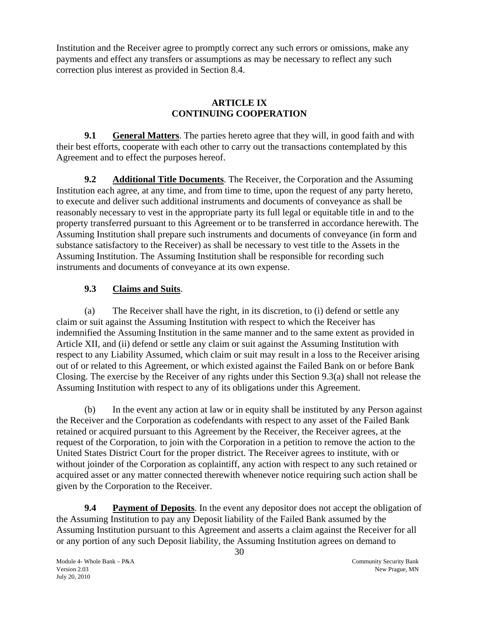Institution and the Receiver agree to promptly correct any such errors or omissions, make any payments and effect any transfers or assumptions as may be necessary to reflect any such correction plus interest as provided in Section 8.4.

## **ARTICLE IX CONTINUING COOPERATION**

<span id="page-33-1"></span><span id="page-33-0"></span>**9.1** General Matters. The parties hereto agree that they will, in good faith and with their best efforts, cooperate with each other to carry out the transactions contemplated by this Agreement and to effect the purposes hereof.

<span id="page-33-2"></span>**9.2 Additional Title Documents**. The Receiver, the Corporation and the Assuming Institution each agree, at any time, and from time to time, upon the request of any party hereto, to execute and deliver such additional instruments and documents of conveyance as shall be reasonably necessary to vest in the appropriate party its full legal or equitable title in and to the property transferred pursuant to this Agreement or to be transferred in accordance herewith. The Assuming Institution shall prepare such instruments and documents of conveyance (in form and substance satisfactory to the Receiver) as shall be necessary to vest title to the Assets in the Assuming Institution. The Assuming Institution shall be responsible for recording such instruments and documents of conveyance at its own expense.

# **9.3 Claims and Suits**.

<span id="page-33-3"></span>(a) The Receiver shall have the right, in its discretion, to (i) defend or settle any claim or suit against the Assuming Institution with respect to which the Receiver has indemnified the Assuming Institution in the same manner and to the same extent as provided in Article XII, and (ii) defend or settle any claim or suit against the Assuming Institution with respect to any Liability Assumed, which claim or suit may result in a loss to the Receiver arising out of or related to this Agreement, or which existed against the Failed Bank on or before Bank Closing. The exercise by the Receiver of any rights under this Section 9.3(a) shall not release the Assuming Institution with respect to any of its obligations under this Agreement.

(b) In the event any action at law or in equity shall be instituted by any Person against the Receiver and the Corporation as codefendants with respect to any asset of the Failed Bank retained or acquired pursuant to this Agreement by the Receiver, the Receiver agrees, at the request of the Corporation, to join with the Corporation in a petition to remove the action to the United States District Court for the proper district. The Receiver agrees to institute, with or without joinder of the Corporation as coplaintiff, any action with respect to any such retained or acquired asset or any matter connected therewith whenever notice requiring such action shall be given by the Corporation to the Receiver.

<span id="page-33-4"></span>**9.4 Payment of Deposits**. In the event any depositor does not accept the obligation of the Assuming Institution to pay any Deposit liability of the Failed Bank assumed by the Assuming Institution pursuant to this Agreement and asserts a claim against the Receiver for all or any portion of any such Deposit liability, the Assuming Institution agrees on demand to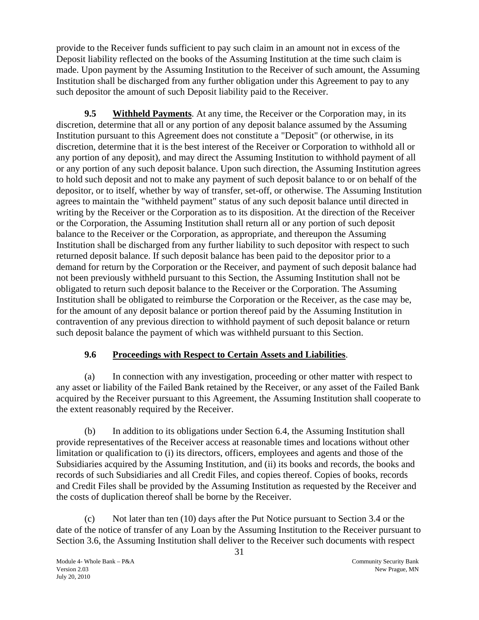provide to the Receiver funds sufficient to pay such claim in an amount not in excess of the Deposit liability reflected on the books of the Assuming Institution at the time such claim is made. Upon payment by the Assuming Institution to the Receiver of such amount, the Assuming Institution shall be discharged from any further obligation under this Agreement to pay to any such depositor the amount of such Deposit liability paid to the Receiver.

<span id="page-34-0"></span>**9.5 Withheld Payments**. At any time, the Receiver or the Corporation may, in its discretion, determine that all or any portion of any deposit balance assumed by the Assuming Institution pursuant to this Agreement does not constitute a "Deposit" (or otherwise, in its discretion, determine that it is the best interest of the Receiver or Corporation to withhold all or any portion of any deposit), and may direct the Assuming Institution to withhold payment of all or any portion of any such deposit balance. Upon such direction, the Assuming Institution agrees to hold such deposit and not to make any payment of such deposit balance to or on behalf of the depositor, or to itself, whether by way of transfer, set-off, or otherwise. The Assuming Institution agrees to maintain the "withheld payment" status of any such deposit balance until directed in writing by the Receiver or the Corporation as to its disposition. At the direction of the Receiver or the Corporation, the Assuming Institution shall return all or any portion of such deposit balance to the Receiver or the Corporation, as appropriate, and thereupon the Assuming Institution shall be discharged from any further liability to such depositor with respect to such returned deposit balance. If such deposit balance has been paid to the depositor prior to a demand for return by the Corporation or the Receiver, and payment of such deposit balance had not been previously withheld pursuant to this Section, the Assuming Institution shall not be obligated to return such deposit balance to the Receiver or the Corporation. The Assuming Institution shall be obligated to reimburse the Corporation or the Receiver, as the case may be, for the amount of any deposit balance or portion thereof paid by the Assuming Institution in contravention of any previous direction to withhold payment of such deposit balance or return such deposit balance the payment of which was withheld pursuant to this Section.

## **9.6 Proceedings with Respect to Certain Assets and Liabilities**.

<span id="page-34-1"></span>(a) In connection with any investigation, proceeding or other matter with respect to any asset or liability of the Failed Bank retained by the Receiver, or any asset of the Failed Bank acquired by the Receiver pursuant to this Agreement, the Assuming Institution shall cooperate to the extent reasonably required by the Receiver.

(b) In addition to its obligations under Section 6.4, the Assuming Institution shall provide representatives of the Receiver access at reasonable times and locations without other limitation or qualification to (i) its directors, officers, employees and agents and those of the Subsidiaries acquired by the Assuming Institution, and (ii) its books and records, the books and records of such Subsidiaries and all Credit Files, and copies thereof. Copies of books, records and Credit Files shall be provided by the Assuming Institution as requested by the Receiver and the costs of duplication thereof shall be borne by the Receiver.

(c) Not later than ten (10) days after the Put Notice pursuant to Section 3.4 or the date of the notice of transfer of any Loan by the Assuming Institution to the Receiver pursuant to Section 3.6, the Assuming Institution shall deliver to the Receiver such documents with respect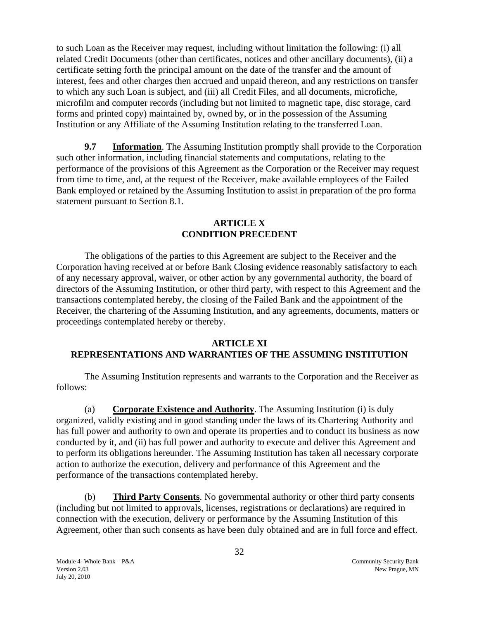to such Loan as the Receiver may request, including without limitation the following: (i) all related Credit Documents (other than certificates, notices and other ancillary documents), (ii) a certificate setting forth the principal amount on the date of the transfer and the amount of interest, fees and other charges then accrued and unpaid thereon, and any restrictions on transfer to which any such Loan is subject, and (iii) all Credit Files, and all documents, microfiche, microfilm and computer records (including but not limited to magnetic tape, disc storage, card forms and printed copy) maintained by, owned by, or in the possession of the Assuming Institution or any Affiliate of the Assuming Institution relating to the transferred Loan.

<span id="page-35-0"></span>**9.7** Information. The Assuming Institution promptly shall provide to the Corporation such other information, including financial statements and computations, relating to the performance of the provisions of this Agreement as the Corporation or the Receiver may request from time to time, and, at the request of the Receiver, make available employees of the Failed Bank employed or retained by the Assuming Institution to assist in preparation of the pro forma statement pursuant to Section 8.1.

#### **ARTICLE X CONDITION PRECEDENT**

<span id="page-35-1"></span>The obligations of the parties to this Agreement are subject to the Receiver and the Corporation having received at or before Bank Closing evidence reasonably satisfactory to each of any necessary approval, waiver, or other action by any governmental authority, the board of directors of the Assuming Institution, or other third party, with respect to this Agreement and the transactions contemplated hereby, the closing of the Failed Bank and the appointment of the Receiver, the chartering of the Assuming Institution, and any agreements, documents, matters or proceedings contemplated hereby or thereby.

#### **ARTICLE XI**

#### **REPRESENTATIONS AND WARRANTIES OF THE ASSUMING INSTITUTION**

<span id="page-35-2"></span>The Assuming Institution represents and warrants to the Corporation and the Receiver as follows:

(a) **Corporate Existence and Authority**. The Assuming Institution (i) is duly organized, validly existing and in good standing under the laws of its Chartering Authority and has full power and authority to own and operate its properties and to conduct its business as now conducted by it, and (ii) has full power and authority to execute and deliver this Agreement and to perform its obligations hereunder. The Assuming Institution has taken all necessary corporate action to authorize the execution, delivery and performance of this Agreement and the performance of the transactions contemplated hereby.

(b) **Third Party Consents**. No governmental authority or other third party consents (including but not limited to approvals, licenses, registrations or declarations) are required in connection with the execution, delivery or performance by the Assuming Institution of this Agreement, other than such consents as have been duly obtained and are in full force and effect.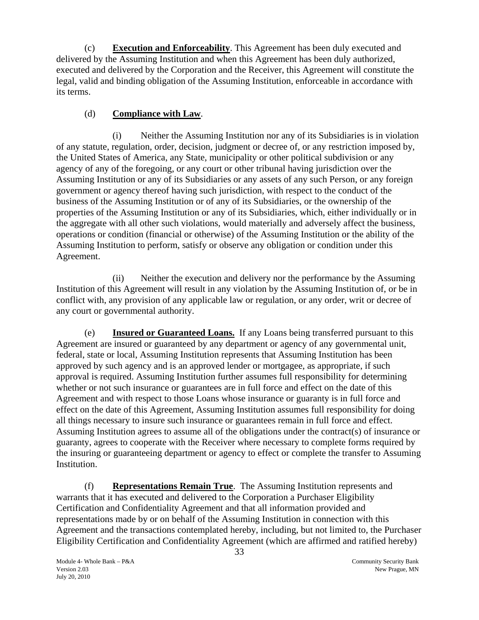(c) **Execution and Enforceability**. This Agreement has been duly executed and delivered by the Assuming Institution and when this Agreement has been duly authorized, executed and delivered by the Corporation and the Receiver, this Agreement will constitute the legal, valid and binding obligation of the Assuming Institution, enforceable in accordance with its terms.

## (d) **Compliance with Law**.

(i) Neither the Assuming Institution nor any of its Subsidiaries is in violation of any statute, regulation, order, decision, judgment or decree of, or any restriction imposed by, the United States of America, any State, municipality or other political subdivision or any agency of any of the foregoing, or any court or other tribunal having jurisdiction over the Assuming Institution or any of its Subsidiaries or any assets of any such Person, or any foreign government or agency thereof having such jurisdiction, with respect to the conduct of the business of the Assuming Institution or of any of its Subsidiaries, or the ownership of the properties of the Assuming Institution or any of its Subsidiaries, which, either individually or in the aggregate with all other such violations, would materially and adversely affect the business, operations or condition (financial or otherwise) of the Assuming Institution or the ability of the Assuming Institution to perform, satisfy or observe any obligation or condition under this Agreement.

(ii) Neither the execution and delivery nor the performance by the Assuming Institution of this Agreement will result in any violation by the Assuming Institution of, or be in conflict with, any provision of any applicable law or regulation, or any order, writ or decree of any court or governmental authority.

(e) **Insured or Guaranteed Loans.** If any Loans being transferred pursuant to this Agreement are insured or guaranteed by any department or agency of any governmental unit, federal, state or local, Assuming Institution represents that Assuming Institution has been approved by such agency and is an approved lender or mortgagee, as appropriate, if such approval is required. Assuming Institution further assumes full responsibility for determining whether or not such insurance or guarantees are in full force and effect on the date of this Agreement and with respect to those Loans whose insurance or guaranty is in full force and effect on the date of this Agreement, Assuming Institution assumes full responsibility for doing all things necessary to insure such insurance or guarantees remain in full force and effect. Assuming Institution agrees to assume all of the obligations under the contract(s) of insurance or guaranty, agrees to cooperate with the Receiver where necessary to complete forms required by the insuring or guaranteeing department or agency to effect or complete the transfer to Assuming Institution.

(f) **Representations Remain True**. The Assuming Institution represents and warrants that it has executed and delivered to the Corporation a Purchaser Eligibility Certification and Confidentiality Agreement and that all information provided and representations made by or on behalf of the Assuming Institution in connection with this Agreement and the transactions contemplated hereby, including, but not limited to, the Purchaser Eligibility Certification and Confidentiality Agreement (which are affirmed and ratified hereby)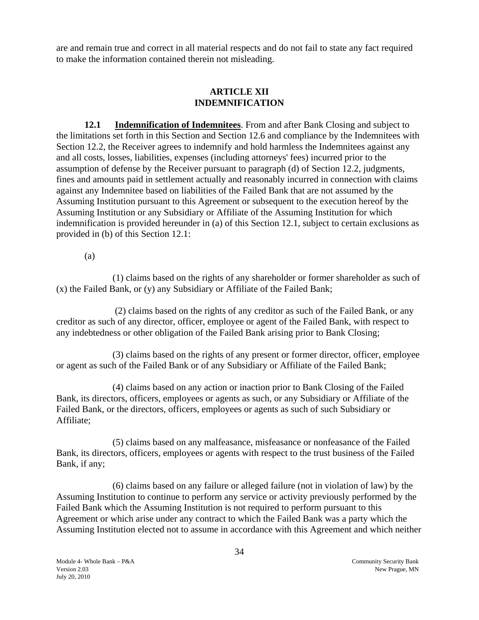are and remain true and correct in all material respects and do not fail to state any fact required to make the information contained therein not misleading.

#### **ARTICLE XII INDEMNIFICATION**

<span id="page-37-0"></span>**12.1** Indemnification of Indemnitees. From and after Bank Closing and subject to the limitations set forth in this Section and Section 12.6 and compliance by the Indemnitees with Section 12.2, the Receiver agrees to indemnify and hold harmless the Indemnitees against any and all costs, losses, liabilities, expenses (including attorneys' fees) incurred prior to the assumption of defense by the Receiver pursuant to paragraph (d) of Section 12.2, judgments, fines and amounts paid in settlement actually and reasonably incurred in connection with claims against any Indemnitee based on liabilities of the Failed Bank that are not assumed by the Assuming Institution pursuant to this Agreement or subsequent to the execution hereof by the Assuming Institution or any Subsidiary or Affiliate of the Assuming Institution for which indemnification is provided hereunder in (a) of this Section 12.1, subject to certain exclusions as provided in (b) of this Section 12.1:

(a)

(1) claims based on the rights of any shareholder or former shareholder as such of (x) the Failed Bank, or (y) any Subsidiary or Affiliate of the Failed Bank;

(2) claims based on the rights of any creditor as such of the Failed Bank, or any creditor as such of any director, officer, employee or agent of the Failed Bank, with respect to any indebtedness or other obligation of the Failed Bank arising prior to Bank Closing;

(3) claims based on the rights of any present or former director, officer, employee or agent as such of the Failed Bank or of any Subsidiary or Affiliate of the Failed Bank;

(4) claims based on any action or inaction prior to Bank Closing of the Failed Bank, its directors, officers, employees or agents as such, or any Subsidiary or Affiliate of the Failed Bank, or the directors, officers, employees or agents as such of such Subsidiary or Affiliate;

(5) claims based on any malfeasance, misfeasance or nonfeasance of the Failed Bank, its directors, officers, employees or agents with respect to the trust business of the Failed Bank, if any;

(6) claims based on any failure or alleged failure (not in violation of law) by the Assuming Institution to continue to perform any service or activity previously performed by the Failed Bank which the Assuming Institution is not required to perform pursuant to this Agreement or which arise under any contract to which the Failed Bank was a party which the Assuming Institution elected not to assume in accordance with this Agreement and which neither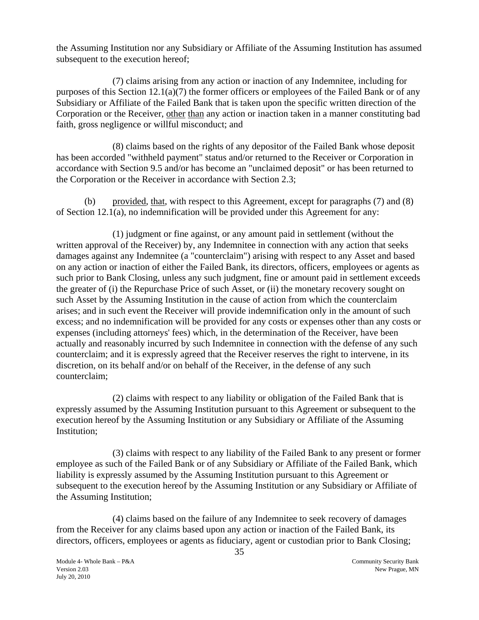the Assuming Institution nor any Subsidiary or Affiliate of the Assuming Institution has assumed subsequent to the execution hereof;

(7) claims arising from any action or inaction of any Indemnitee, including for purposes of this Section 12.1(a)(7) the former officers or employees of the Failed Bank or of any Subsidiary or Affiliate of the Failed Bank that is taken upon the specific written direction of the Corporation or the Receiver, other than any action or inaction taken in a manner constituting bad faith, gross negligence or willful misconduct; and

(8) claims based on the rights of any depositor of the Failed Bank whose deposit has been accorded "withheld payment" status and/or returned to the Receiver or Corporation in accordance with Section 9.5 and/or has become an "unclaimed deposit" or has been returned to the Corporation or the Receiver in accordance with Section 2.3;

(b) provided, that, with respect to this Agreement, except for paragraphs (7) and (8) of Section 12.1(a), no indemnification will be provided under this Agreement for any:

(1) judgment or fine against, or any amount paid in settlement (without the written approval of the Receiver) by, any Indemnitee in connection with any action that seeks damages against any Indemnitee (a "counterclaim") arising with respect to any Asset and based on any action or inaction of either the Failed Bank, its directors, officers, employees or agents as such prior to Bank Closing, unless any such judgment, fine or amount paid in settlement exceeds the greater of (i) the Repurchase Price of such Asset, or (ii) the monetary recovery sought on such Asset by the Assuming Institution in the cause of action from which the counterclaim arises; and in such event the Receiver will provide indemnification only in the amount of such excess; and no indemnification will be provided for any costs or expenses other than any costs or expenses (including attorneys' fees) which, in the determination of the Receiver, have been actually and reasonably incurred by such Indemnitee in connection with the defense of any such counterclaim; and it is expressly agreed that the Receiver reserves the right to intervene, in its discretion, on its behalf and/or on behalf of the Receiver, in the defense of any such counterclaim;

(2) claims with respect to any liability or obligation of the Failed Bank that is expressly assumed by the Assuming Institution pursuant to this Agreement or subsequent to the execution hereof by the Assuming Institution or any Subsidiary or Affiliate of the Assuming Institution;

(3) claims with respect to any liability of the Failed Bank to any present or former employee as such of the Failed Bank or of any Subsidiary or Affiliate of the Failed Bank, which liability is expressly assumed by the Assuming Institution pursuant to this Agreement or subsequent to the execution hereof by the Assuming Institution or any Subsidiary or Affiliate of the Assuming Institution;

(4) claims based on the failure of any Indemnitee to seek recovery of damages from the Receiver for any claims based upon any action or inaction of the Failed Bank, its directors, officers, employees or agents as fiduciary, agent or custodian prior to Bank Closing;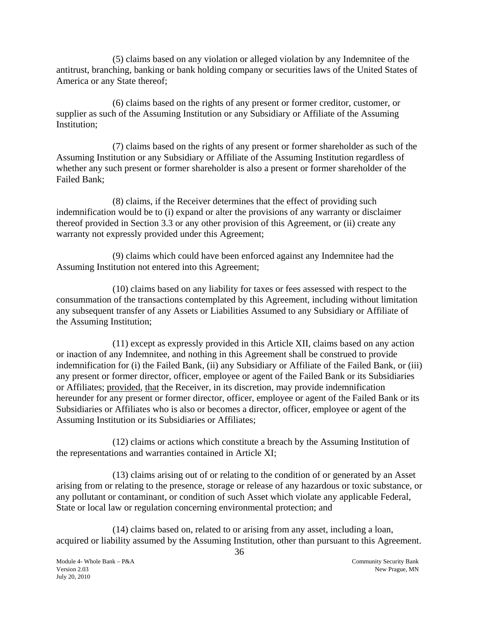(5) claims based on any violation or alleged violation by any Indemnitee of the antitrust, branching, banking or bank holding company or securities laws of the United States of America or any State thereof;

(6) claims based on the rights of any present or former creditor, customer, or supplier as such of the Assuming Institution or any Subsidiary or Affiliate of the Assuming Institution;

(7) claims based on the rights of any present or former shareholder as such of the Assuming Institution or any Subsidiary or Affiliate of the Assuming Institution regardless of whether any such present or former shareholder is also a present or former shareholder of the Failed Bank;

(8) claims, if the Receiver determines that the effect of providing such indemnification would be to (i) expand or alter the provisions of any warranty or disclaimer thereof provided in Section 3.3 or any other provision of this Agreement, or (ii) create any warranty not expressly provided under this Agreement;

(9) claims which could have been enforced against any Indemnitee had the Assuming Institution not entered into this Agreement;

(10) claims based on any liability for taxes or fees assessed with respect to the consummation of the transactions contemplated by this Agreement, including without limitation any subsequent transfer of any Assets or Liabilities Assumed to any Subsidiary or Affiliate of the Assuming Institution;

(11) except as expressly provided in this Article XII, claims based on any action or inaction of any Indemnitee, and nothing in this Agreement shall be construed to provide indemnification for (i) the Failed Bank, (ii) any Subsidiary or Affiliate of the Failed Bank, or (iii) any present or former director, officer, employee or agent of the Failed Bank or its Subsidiaries or Affiliates; provided, that the Receiver, in its discretion, may provide indemnification hereunder for any present or former director, officer, employee or agent of the Failed Bank or its Subsidiaries or Affiliates who is also or becomes a director, officer, employee or agent of the Assuming Institution or its Subsidiaries or Affiliates;

(12) claims or actions which constitute a breach by the Assuming Institution of the representations and warranties contained in Article XI;

(13) claims arising out of or relating to the condition of or generated by an Asset arising from or relating to the presence, storage or release of any hazardous or toxic substance, or any pollutant or contaminant, or condition of such Asset which violate any applicable Federal, State or local law or regulation concerning environmental protection; and

(14) claims based on, related to or arising from any asset, including a loan, acquired or liability assumed by the Assuming Institution, other than pursuant to this Agreement.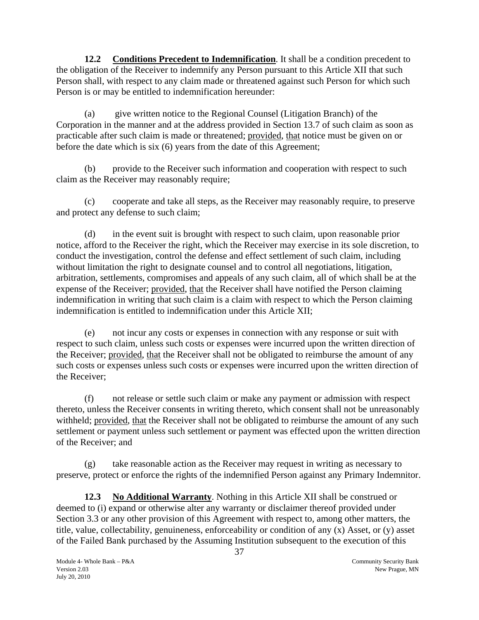<span id="page-40-0"></span> **12.2 Conditions Precedent to Indemnification**. It shall be a condition precedent to the obligation of the Receiver to indemnify any Person pursuant to this Article XII that such Person shall, with respect to any claim made or threatened against such Person for which such Person is or may be entitled to indemnification hereunder:

(a) give written notice to the Regional Counsel (Litigation Branch) of the Corporation in the manner and at the address provided in Section 13.7 of such claim as soon as practicable after such claim is made or threatened; provided, that notice must be given on or before the date which is six (6) years from the date of this Agreement;

(b) provide to the Receiver such information and cooperation with respect to such claim as the Receiver may reasonably require;

(c) cooperate and take all steps, as the Receiver may reasonably require, to preserve and protect any defense to such claim;

(d) in the event suit is brought with respect to such claim, upon reasonable prior notice, afford to the Receiver the right, which the Receiver may exercise in its sole discretion, to conduct the investigation, control the defense and effect settlement of such claim, including without limitation the right to designate counsel and to control all negotiations, litigation, arbitration, settlements, compromises and appeals of any such claim, all of which shall be at the expense of the Receiver; provided, that the Receiver shall have notified the Person claiming indemnification in writing that such claim is a claim with respect to which the Person claiming indemnification is entitled to indemnification under this Article XII;

(e) not incur any costs or expenses in connection with any response or suit with respect to such claim, unless such costs or expenses were incurred upon the written direction of the Receiver; provided, that the Receiver shall not be obligated to reimburse the amount of any such costs or expenses unless such costs or expenses were incurred upon the written direction of the Receiver;

(f) not release or settle such claim or make any payment or admission with respect thereto, unless the Receiver consents in writing thereto, which consent shall not be unreasonably withheld; provided, that the Receiver shall not be obligated to reimburse the amount of any such settlement or payment unless such settlement or payment was effected upon the written direction of the Receiver; and

(g) take reasonable action as the Receiver may request in writing as necessary to preserve, protect or enforce the rights of the indemnified Person against any Primary Indemnitor.

<span id="page-40-1"></span>**12.3 No Additional Warranty**. Nothing in this Article XII shall be construed or deemed to (i) expand or otherwise alter any warranty or disclaimer thereof provided under Section 3.3 or any other provision of this Agreement with respect to, among other matters, the title, value, collectability, genuineness, enforceability or condition of any (x) Asset, or (y) asset of the Failed Bank purchased by the Assuming Institution subsequent to the execution of this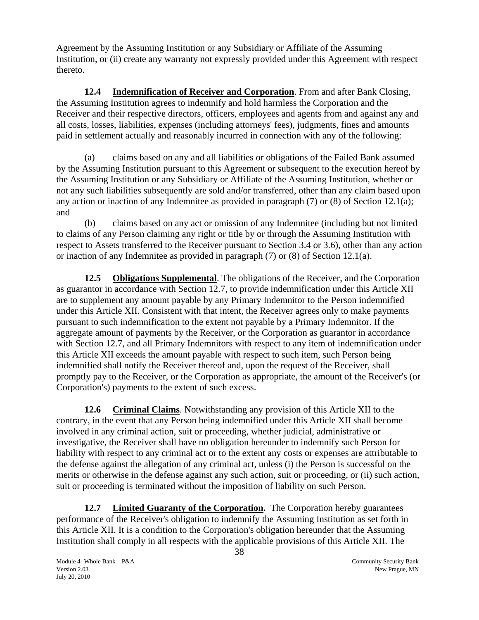Agreement by the Assuming Institution or any Subsidiary or Affiliate of the Assuming Institution, or (ii) create any warranty not expressly provided under this Agreement with respect thereto.

<span id="page-41-0"></span>**12.4 Indemnification of Receiver and Corporation**. From and after Bank Closing, the Assuming Institution agrees to indemnify and hold harmless the Corporation and the Receiver and their respective directors, officers, employees and agents from and against any and all costs, losses, liabilities, expenses (including attorneys' fees), judgments, fines and amounts paid in settlement actually and reasonably incurred in connection with any of the following:

(a) claims based on any and all liabilities or obligations of the Failed Bank assumed by the Assuming Institution pursuant to this Agreement or subsequent to the execution hereof by the Assuming Institution or any Subsidiary or Affiliate of the Assuming Institution, whether or not any such liabilities subsequently are sold and/or transferred, other than any claim based upon any action or inaction of any Indemnitee as provided in paragraph (7) or (8) of Section 12.1(a); and

(b) claims based on any act or omission of any Indemnitee (including but not limited to claims of any Person claiming any right or title by or through the Assuming Institution with respect to Assets transferred to the Receiver pursuant to Section 3.4 or 3.6), other than any action or inaction of any Indemnitee as provided in paragraph (7) or (8) of Section 12.1(a).

<span id="page-41-1"></span>**12.5 Obligations Supplemental**. The obligations of the Receiver, and the Corporation as guarantor in accordance with Section 12.7, to provide indemnification under this Article XII are to supplement any amount payable by any Primary Indemnitor to the Person indemnified under this Article XII. Consistent with that intent, the Receiver agrees only to make payments pursuant to such indemnification to the extent not payable by a Primary Indemnitor. If the aggregate amount of payments by the Receiver, or the Corporation as guarantor in accordance with Section 12.7, and all Primary Indemnitors with respect to any item of indemnification under this Article XII exceeds the amount payable with respect to such item, such Person being indemnified shall notify the Receiver thereof and, upon the request of the Receiver, shall promptly pay to the Receiver, or the Corporation as appropriate, the amount of the Receiver's (or Corporation's) payments to the extent of such excess.

<span id="page-41-2"></span>**12.6 Criminal Claims**. Notwithstanding any provision of this Article XII to the contrary, in the event that any Person being indemnified under this Article XII shall become involved in any criminal action, suit or proceeding, whether judicial, administrative or investigative, the Receiver shall have no obligation hereunder to indemnify such Person for liability with respect to any criminal act or to the extent any costs or expenses are attributable to the defense against the allegation of any criminal act, unless (i) the Person is successful on the merits or otherwise in the defense against any such action, suit or proceeding, or (ii) such action, suit or proceeding is terminated without the imposition of liability on such Person.

<span id="page-41-3"></span>**12.7 Limited Guaranty of the Corporation.** The Corporation hereby guarantees performance of the Receiver's obligation to indemnify the Assuming Institution as set forth in this Article XII. It is a condition to the Corporation's obligation hereunder that the Assuming Institution shall comply in all respects with the applicable provisions of this Article XII. The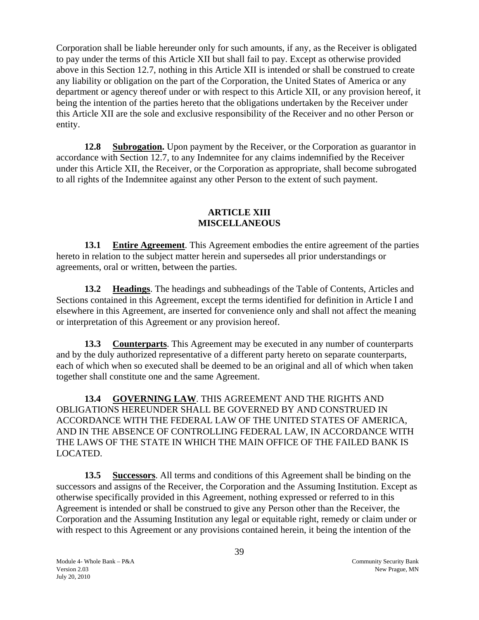Corporation shall be liable hereunder only for such amounts, if any, as the Receiver is obligated to pay under the terms of this Article XII but shall fail to pay. Except as otherwise provided above in this Section 12.7, nothing in this Article XII is intended or shall be construed to create any liability or obligation on the part of the Corporation, the United States of America or any department or agency thereof under or with respect to this Article XII, or any provision hereof, it being the intention of the parties hereto that the obligations undertaken by the Receiver under this Article XII are the sole and exclusive responsibility of the Receiver and no other Person or entity.

<span id="page-42-1"></span><span id="page-42-0"></span>**12.8 Subrogation.** Upon payment by the Receiver, or the Corporation as guarantor in accordance with Section 12.7, to any Indemnitee for any claims indemnified by the Receiver under this Article XII, the Receiver, or the Corporation as appropriate, shall become subrogated to all rights of the Indemnitee against any other Person to the extent of such payment.

## **ARTICLE XIII MISCELLANEOUS**

<span id="page-42-3"></span><span id="page-42-2"></span>**13.1 Entire Agreement**. This Agreement embodies the entire agreement of the parties hereto in relation to the subject matter herein and supersedes all prior understandings or agreements, oral or written, between the parties.

<span id="page-42-4"></span>**13.2 Headings**. The headings and subheadings of the Table of Contents, Articles and Sections contained in this Agreement, except the terms identified for definition in Article I and elsewhere in this Agreement, are inserted for convenience only and shall not affect the meaning or interpretation of this Agreement or any provision hereof.

<span id="page-42-5"></span>**13.3 Counterparts**. This Agreement may be executed in any number of counterparts and by the duly authorized representative of a different party hereto on separate counterparts, each of which when so executed shall be deemed to be an original and all of which when taken together shall constitute one and the same Agreement.

<span id="page-42-6"></span>**13.4 GOVERNING LAW**. THIS AGREEMENT AND THE RIGHTS AND OBLIGATIONS HEREUNDER SHALL BE GOVERNED BY AND CONSTRUED IN ACCORDANCE WITH THE FEDERAL LAW OF THE UNITED STATES OF AMERICA, AND IN THE ABSENCE OF CONTROLLING FEDERAL LAW, IN ACCORDANCE WITH THE LAWS OF THE STATE IN WHICH THE MAIN OFFICE OF THE FAILED BANK IS LOCATED.

<span id="page-42-7"></span>**13.5 Successors**. All terms and conditions of this Agreement shall be binding on the successors and assigns of the Receiver, the Corporation and the Assuming Institution. Except as otherwise specifically provided in this Agreement, nothing expressed or referred to in this Agreement is intended or shall be construed to give any Person other than the Receiver, the Corporation and the Assuming Institution any legal or equitable right, remedy or claim under or with respect to this Agreement or any provisions contained herein, it being the intention of the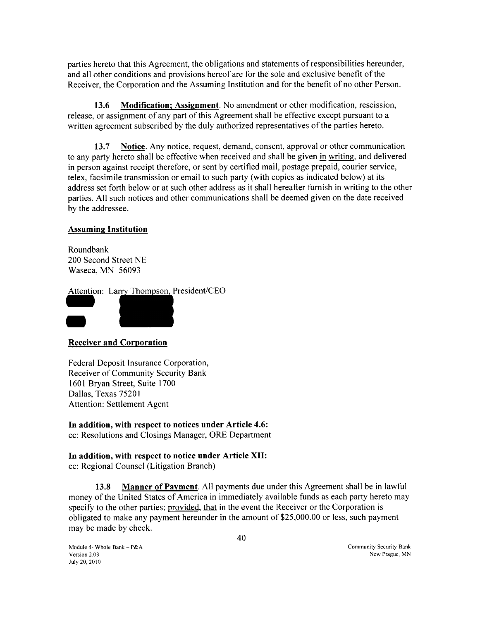parties hereto that this Agreement, the obligations and statements of responsibilities hereunder, and all other conditions and provisions hereof are for the sole and exclusive benefit of the Receiver, the Corporation and the Assuming Institution and for the benefit of no other Person.

13.6 Modification; Assignment. No amendment or other modification, rescission, release, or assignment of any part of this Agreement shall be effective except pursuant to a written agreement subscribed by the duly authorized representatives of the parties hereto.

13.7 Notice. Any notice, request, demand, consent, approval or other communication to any party hereto shall be effective when received and shall be given in writing, and delivered in person against receipt therefore, or sent by certified mail, postage prepaid, courier service, telex, facsimile transmission or email to such party (with copies as indicated below) at its address set forth below or at such other address as it shall hereafter furnish in writing to the other parties. All such notices and other communications shall be deemed given on the date received by the addressee.

#### Assuming Institution

Roundbank 200 Second Street NE Waseca, MN 56093 Waseca, N<br>Attention:



#### Receiver and Corporation

Federal Deposit Insurance Corporation, Receiver of Community Security Bank 1601 Bryan Street, Suite 1700 Dallas, Texas 7520 i Attention: Settlement Agent

In addition, with respect to notices under Article 4.6:

cc: Resolutions and Closings Manager, ORE Department

# In addition, with respect to notice under Article XII:

cc: Regional Counsel (Litigation Branch)

13.8 Manner of Payment. All payments due under this Agreement shall be in lawful money of the United States of America in immediately available funds as each party hereto may specify to the other parties; provided, that in the event the Receiver or the Corporation is obligated to make any payment hereunder in the amount of \$25,000.00 or less, such payment may be made by check.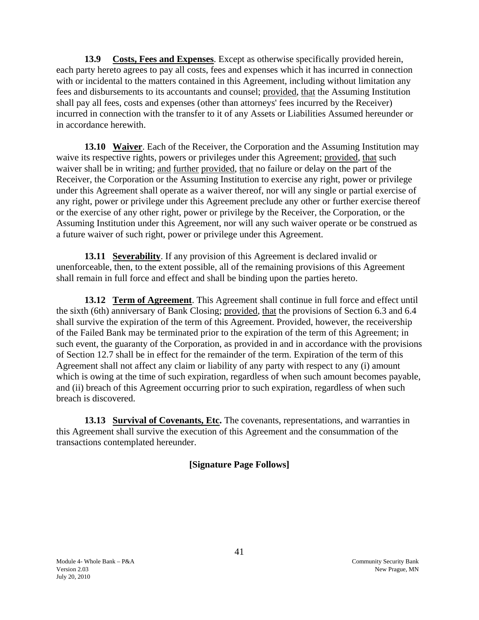<span id="page-44-0"></span> **13.9 Costs, Fees and Expenses**. Except as otherwise specifically provided herein, each party hereto agrees to pay all costs, fees and expenses which it has incurred in connection with or incidental to the matters contained in this Agreement, including without limitation any fees and disbursements to its accountants and counsel; provided, that the Assuming Institution shall pay all fees, costs and expenses (other than attorneys' fees incurred by the Receiver) incurred in connection with the transfer to it of any Assets or Liabilities Assumed hereunder or in accordance herewith.

<span id="page-44-1"></span>**13.10 Waiver**. Each of the Receiver, the Corporation and the Assuming Institution may waive its respective rights, powers or privileges under this Agreement; provided, that such waiver shall be in writing; and further provided, that no failure or delay on the part of the Receiver, the Corporation or the Assuming Institution to exercise any right, power or privilege under this Agreement shall operate as a waiver thereof, nor will any single or partial exercise of any right, power or privilege under this Agreement preclude any other or further exercise thereof or the exercise of any other right, power or privilege by the Receiver, the Corporation, or the Assuming Institution under this Agreement, nor will any such waiver operate or be construed as a future waiver of such right, power or privilege under this Agreement.

<span id="page-44-2"></span>**13.11 Severability**. If any provision of this Agreement is declared invalid or unenforceable, then, to the extent possible, all of the remaining provisions of this Agreement shall remain in full force and effect and shall be binding upon the parties hereto.

<span id="page-44-3"></span>**13.12 Term of Agreement**. This Agreement shall continue in full force and effect until the sixth (6th) anniversary of Bank Closing; provided, that the provisions of Section 6.3 and 6.4 shall survive the expiration of the term of this Agreement. Provided, however, the receivership of the Failed Bank may be terminated prior to the expiration of the term of this Agreement; in such event, the guaranty of the Corporation, as provided in and in accordance with the provisions of Section 12.7 shall be in effect for the remainder of the term. Expiration of the term of this Agreement shall not affect any claim or liability of any party with respect to any (i) amount which is owing at the time of such expiration, regardless of when such amount becomes payable, and (ii) breach of this Agreement occurring prior to such expiration, regardless of when such breach is discovered.

<span id="page-44-4"></span>**13.13 Survival of Covenants, Etc.** The covenants, representations, and warranties in this Agreement shall survive the execution of this Agreement and the consummation of the transactions contemplated hereunder.

## **[Signature Page Follows]**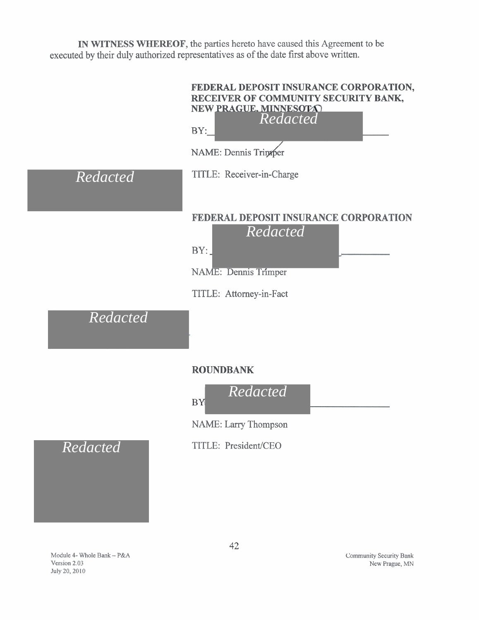**IN WITNESS WHEREOF,** the parties hereto have caused this Agreement to be executed by their duly authorized representatives as of the date first above written.

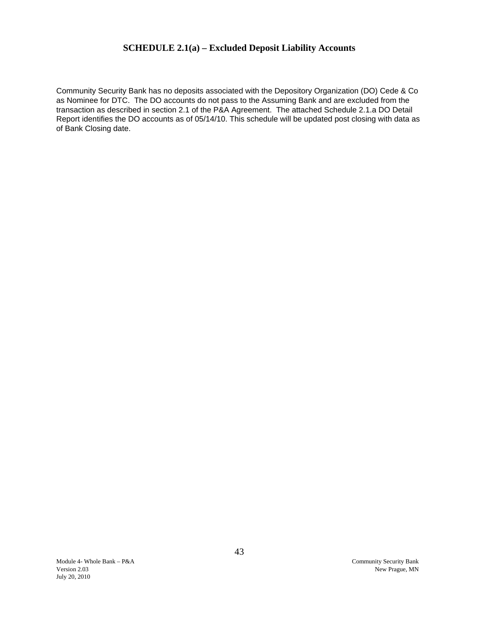#### **SCHEDULE 2.1(a) – Excluded Deposit Liability Accounts**

Community Security Bank has no deposits associated with the Depository Organization (DO) Cede & Co as Nominee for DTC. The DO accounts do not pass to the Assuming Bank and are excluded from the transaction as described in section 2.1 of the P&A Agreement. The attached Schedule 2.1.a DO Detail Report identifies the DO accounts as of 05/14/10. This schedule will be updated post closing with data as of Bank Closing date.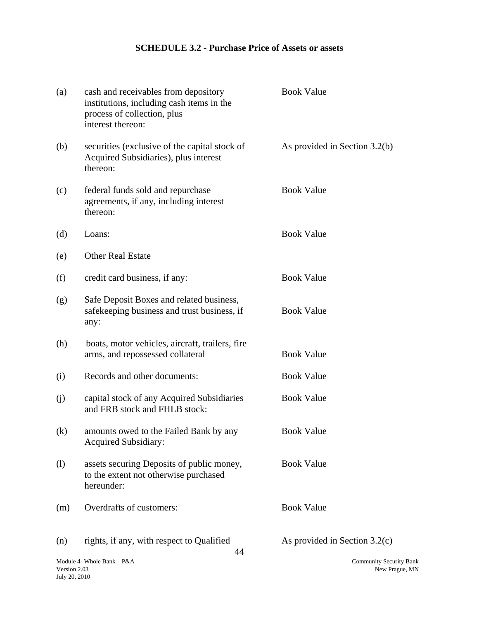# **SCHEDULE 3.2 - Purchase Price of Assets or assets**

<span id="page-47-0"></span>

| (a)               | cash and receivables from depository<br>institutions, including cash items in the<br>process of collection, plus<br>interest thereon: | <b>Book Value</b>               |
|-------------------|---------------------------------------------------------------------------------------------------------------------------------------|---------------------------------|
| (b)               | securities (exclusive of the capital stock of<br>Acquired Subsidiaries), plus interest<br>thereon:                                    | As provided in Section $3.2(b)$ |
| (c)               | federal funds sold and repurchase<br>agreements, if any, including interest<br>thereon:                                               | <b>Book Value</b>               |
| (d)               | Loans:                                                                                                                                | <b>Book Value</b>               |
| (e)               | <b>Other Real Estate</b>                                                                                                              |                                 |
| (f)               | credit card business, if any:                                                                                                         | <b>Book Value</b>               |
| (g)               | Safe Deposit Boxes and related business,<br>safekeeping business and trust business, if<br>any:                                       | <b>Book Value</b>               |
| (h)               | boats, motor vehicles, aircraft, trailers, fire<br>arms, and repossessed collateral                                                   | <b>Book Value</b>               |
| (i)               | Records and other documents:                                                                                                          | <b>Book Value</b>               |
| (j)               | capital stock of any Acquired Subsidiaries<br>and FRB stock and FHLB stock:                                                           | <b>Book Value</b>               |
| $\left( k\right)$ | amounts owed to the Failed Bank by any<br><b>Acquired Subsidiary:</b>                                                                 | <b>Book Value</b>               |
| (1)               | assets securing Deposits of public money,<br>to the extent not otherwise purchased<br>hereunder:                                      | <b>Book Value</b>               |
| (m)               | Overdrafts of customers:                                                                                                              | <b>Book Value</b>               |
| (n)               | rights, if any, with respect to Qualified<br>44                                                                                       | As provided in Section $3.2(c)$ |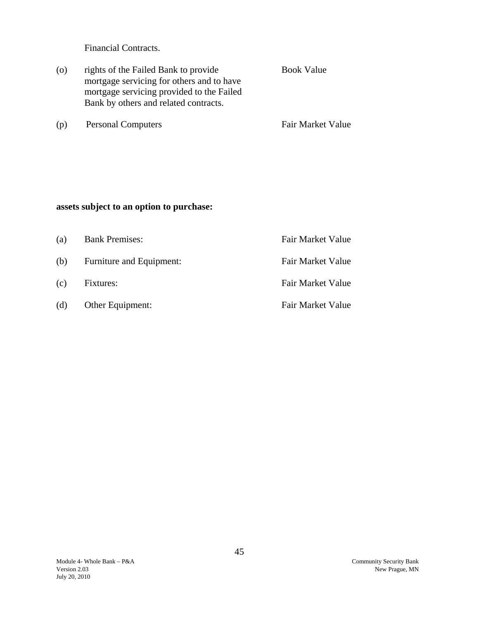Financial Contracts.

| (0) | rights of the Failed Bank to provide<br>mortgage servicing for others and to have<br>mortgage servicing provided to the Failed<br>Bank by others and related contracts. | <b>Book Value</b> |
|-----|-------------------------------------------------------------------------------------------------------------------------------------------------------------------------|-------------------|
| (p) | <b>Personal Computers</b>                                                                                                                                               | Fair Market Value |

## **assets subject to an option to purchase:**

| (a) | <b>Bank Premises:</b>    | Fair Market Value |
|-----|--------------------------|-------------------|
| (b) | Furniture and Equipment: | Fair Market Value |
| (c) | Fixtures:                | Fair Market Value |
| (d) | Other Equipment:         | Fair Market Value |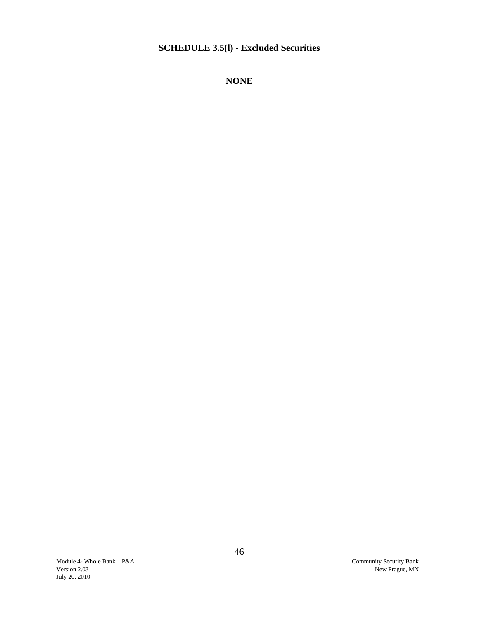<span id="page-49-0"></span>**SCHEDULE 3.5(l) - Excluded Securities** 

**NONE**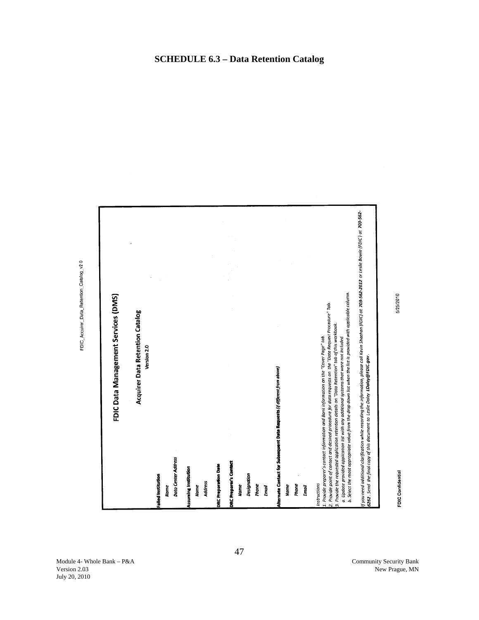

FDIC\_Acquirer\_Data\_Retention\_Catalog\_v20

Module 4- Whole Bank – P&A Community Security Bank Version 2.03 New Prague, MN July 20, 2010

FDIC Confidential

47

5/25/2010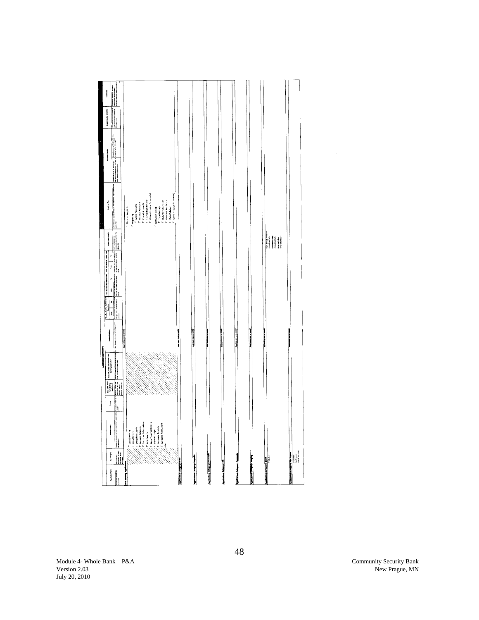

Module 4- Whole Bank –  $P&A$ Version 2.03<br>July 20, 2010

Community Security Bank<br>New Prague, MN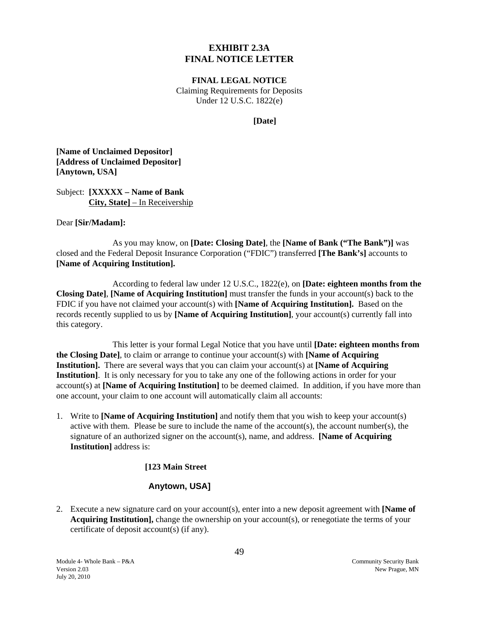## **EXHIBIT 2.3A FINAL NOTICE LETTER**

**FINAL LEGAL NOTICE** 

Claiming Requirements for Deposits Under 12 U.S.C. 1822(e)

**[Date]** 

<span id="page-52-0"></span>**[Name of Unclaimed Depositor] [Address of Unclaimed Depositor] [Anytown, USA]** 

Subject: **[XXXXX – Name of Bank City, State]** – In Receivership

Dear **[Sir/Madam]:** 

As you may know, on **[Date: Closing Date]**, the **[Name of Bank ("The Bank")]** was closed and the Federal Deposit Insurance Corporation ("FDIC") transferred **[The Bank's]** accounts to **[Name of Acquiring Institution].** 

According to federal law under 12 U.S.C., 1822(e), on **[Date: eighteen months from the Closing Date]**, **[Name of Acquiring Institution]** must transfer the funds in your account(s) back to the FDIC if you have not claimed your account(s) with **[Name of Acquiring Institution].** Based on the records recently supplied to us by **[Name of Acquiring Institution]**, your account(s) currently fall into this category.

This letter is your formal Legal Notice that you have until **[Date: eighteen months from the Closing Date]**, to claim or arrange to continue your account(s) with **[Name of Acquiring Institution].** There are several ways that you can claim your account(s) at **[Name of Acquiring Institution]**. It is only necessary for you to take any one of the following actions in order for your account(s) at **[Name of Acquiring Institution]** to be deemed claimed. In addition, if you have more than one account, your claim to one account will automatically claim all accounts:

1. Write to **[Name of Acquiring Institution**] and notify them that you wish to keep your account(s) active with them. Please be sure to include the name of the account(s), the account number(s), the signature of an authorized signer on the account(s), name, and address. **[Name of Acquiring Institution]** address is:

#### **[123 Main Street**

#### **Anytown, USA]**

2. Execute a new signature card on your account(s), enter into a new deposit agreement with **[Name of Acquiring Institution],** change the ownership on your account(s), or renegotiate the terms of your certificate of deposit account(s) (if any).

Module 4- Whole Bank – P&A Community Security Bank Version 2.03 New Prague, MN July 20, 2010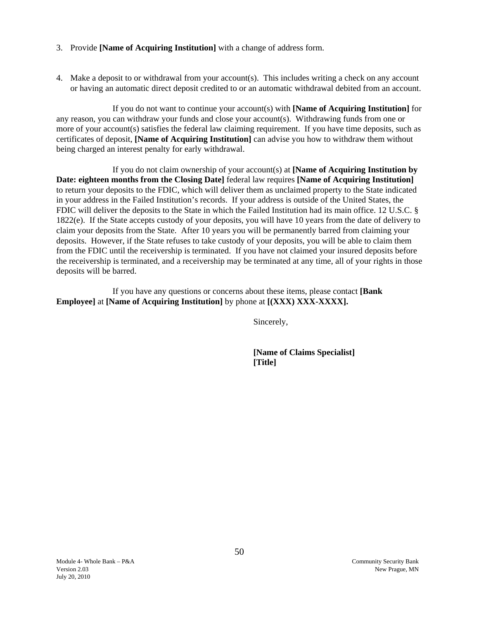- <span id="page-53-0"></span>3. Provide **[Name of Acquiring Institution]** with a change of address form.
- 4. Make a deposit to or withdrawal from your account(s). This includes writing a check on any account or having an automatic direct deposit credited to or an automatic withdrawal debited from an account.

If you do not want to continue your account(s) with **[Name of Acquiring Institution]** for any reason, you can withdraw your funds and close your account(s). Withdrawing funds from one or more of your account(s) satisfies the federal law claiming requirement. If you have time deposits, such as certificates of deposit, **[Name of Acquiring Institution]** can advise you how to withdraw them without being charged an interest penalty for early withdrawal.

If you do not claim ownership of your account(s) at **[Name of Acquiring Institution by Date: eighteen months from the Closing Date]** federal law requires **[Name of Acquiring Institution]**  to return your deposits to the FDIC, which will deliver them as unclaimed property to the State indicated in your address in the Failed Institution's records. If your address is outside of the United States, the FDIC will deliver the deposits to the State in which the Failed Institution had its main office. 12 U.S.C. § 1822(e). If the State accepts custody of your deposits, you will have 10 years from the date of delivery to claim your deposits from the State. After 10 years you will be permanently barred from claiming your deposits. However, if the State refuses to take custody of your deposits, you will be able to claim them from the FDIC until the receivership is terminated. If you have not claimed your insured deposits before the receivership is terminated, and a receivership may be terminated at any time, all of your rights in those deposits will be barred.

If you have any questions or concerns about these items, please contact **[Bank Employee]** at **[Name of Acquiring Institution]** by phone at **[(XXX) XXX-XXXX].** 

Sincerely,

**[Name of Claims Specialist] [Title]**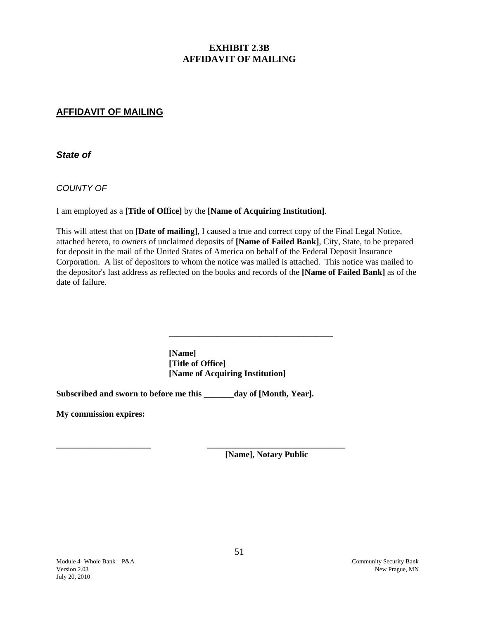## **EXHIBIT 2.3B AFFIDAVIT OF MAILING**

#### **AFFIDAVIT OF MAILING**

*State of* 

*COUNTY OF* 

I am employed as a **[Title of Office]** by the **[Name of Acquiring Institution]**.

This will attest that on **[Date of mailing]**, I caused a true and correct copy of the Final Legal Notice, attached hereto, to owners of unclaimed deposits of **[Name of Failed Bank]**, City, State, to be prepared for deposit in the mail of the United States of America on behalf of the Federal Deposit Insurance Corporation. A list of depositors to whom the notice was mailed is attached. This notice was mailed to the depositor's last address as reflected on the books and records of the **[Name of Failed Bank]** as of the date of failure.

> **[Name] [Title of Office] [Name of Acquiring Institution]**

**Subscribed and sworn to before me this \_\_\_\_\_\_\_day of [Month, Year].** 

 $\overline{\phantom{a}}$  ,  $\overline{\phantom{a}}$  ,  $\overline{\phantom{a}}$  ,  $\overline{\phantom{a}}$  ,  $\overline{\phantom{a}}$  ,  $\overline{\phantom{a}}$  ,  $\overline{\phantom{a}}$  ,  $\overline{\phantom{a}}$  ,  $\overline{\phantom{a}}$  ,  $\overline{\phantom{a}}$  ,  $\overline{\phantom{a}}$  ,  $\overline{\phantom{a}}$  ,  $\overline{\phantom{a}}$  ,  $\overline{\phantom{a}}$  ,  $\overline{\phantom{a}}$  ,  $\overline{\phantom{a}}$ 

**My commission expires:** 

**\_\_\_\_\_\_\_\_\_\_\_\_\_\_\_\_\_\_\_\_\_\_ \_\_\_\_\_\_\_\_\_\_\_\_\_\_\_\_\_\_\_\_\_\_\_\_\_\_\_\_\_\_\_\_ [Name], Notary Public**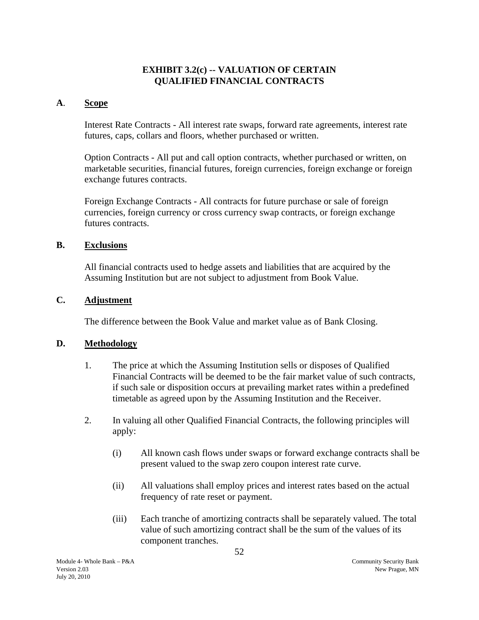## **EXHIBIT 3.2(c) -- VALUATION OF CERTAIN QUALIFIED FINANCIAL CONTRACTS**

#### <span id="page-55-0"></span>**A**. **Scope**

Interest Rate Contracts - All interest rate swaps, forward rate agreements, interest rate futures, caps, collars and floors, whether purchased or written.

Option Contracts - All put and call option contracts, whether purchased or written, on marketable securities, financial futures, foreign currencies, foreign exchange or foreign exchange futures contracts.

Foreign Exchange Contracts - All contracts for future purchase or sale of foreign currencies, foreign currency or cross currency swap contracts, or foreign exchange futures contracts.

#### **B. Exclusions**

All financial contracts used to hedge assets and liabilities that are acquired by the Assuming Institution but are not subject to adjustment from Book Value.

#### C. Adjustment

The difference between the Book Value and market value as of Bank Closing.

#### **D. Methodology**

- 1. The price at which the Assuming Institution sells or disposes of Qualified Financial Contracts will be deemed to be the fair market value of such contracts, if such sale or disposition occurs at prevailing market rates within a predefined timetable as agreed upon by the Assuming Institution and the Receiver.
- 2. In valuing all other Qualified Financial Contracts, the following principles will apply:
	- (i) All known cash flows under swaps or forward exchange contracts shall be present valued to the swap zero coupon interest rate curve.
	- (ii) All valuations shall employ prices and interest rates based on the actual frequency of rate reset or payment.
	- (iii) Each tranche of amortizing contracts shall be separately valued. The total value of such amortizing contract shall be the sum of the values of its component tranches.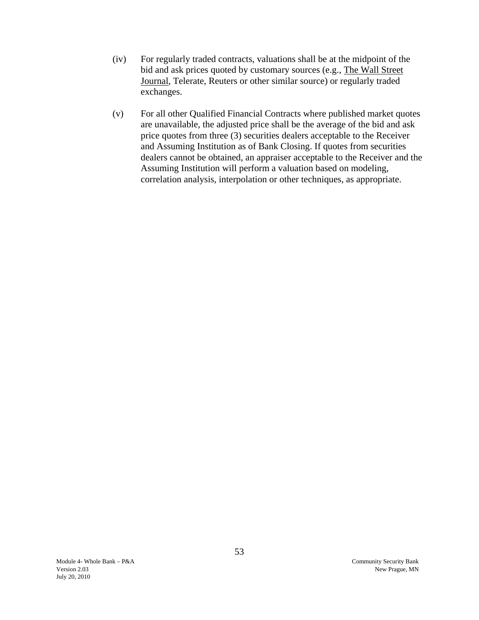- (iv) For regularly traded contracts, valuations shall be at the midpoint of the bid and ask prices quoted by customary sources (e.g., The Wall Street Journal, Telerate, Reuters or other similar source) or regularly traded exchanges.
- (v) For all other Qualified Financial Contracts where published market quotes are unavailable, the adjusted price shall be the average of the bid and ask price quotes from three (3) securities dealers acceptable to the Receiver and Assuming Institution as of Bank Closing. If quotes from securities dealers cannot be obtained, an appraiser acceptable to the Receiver and the Assuming Institution will perform a valuation based on modeling, correlation analysis, interpolation or other techniques, as appropriate.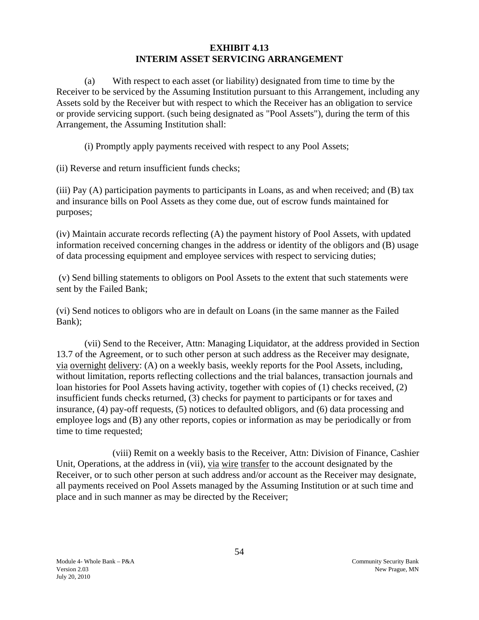#### **EXHIBIT 4.13 INTERIM ASSET SERVICING ARRANGEMENT**

<span id="page-57-0"></span>(a) With respect to each asset (or liability) designated from time to time by the Receiver to be serviced by the Assuming Institution pursuant to this Arrangement, including any Assets sold by the Receiver but with respect to which the Receiver has an obligation to service or provide servicing support. (such being designated as "Pool Assets"), during the term of this Arrangement, the Assuming Institution shall:

(i) Promptly apply payments received with respect to any Pool Assets;

(ii) Reverse and return insufficient funds checks;

(iii) Pay (A) participation payments to participants in Loans, as and when received; and (B) tax and insurance bills on Pool Assets as they come due, out of escrow funds maintained for purposes;

(iv) Maintain accurate records reflecting (A) the payment history of Pool Assets, with updated information received concerning changes in the address or identity of the obligors and (B) usage of data processing equipment and employee services with respect to servicing duties;

(v) Send billing statements to obligors on Pool Assets to the extent that such statements were sent by the Failed Bank;

(vi) Send notices to obligors who are in default on Loans (in the same manner as the Failed Bank);

(vii) Send to the Receiver, Attn: Managing Liquidator, at the address provided in Section 13.7 of the Agreement, or to such other person at such address as the Receiver may designate, via overnight delivery: (A) on a weekly basis, weekly reports for the Pool Assets, including, without limitation, reports reflecting collections and the trial balances, transaction journals and loan histories for Pool Assets having activity, together with copies of (1) checks received, (2) insufficient funds checks returned, (3) checks for payment to participants or for taxes and insurance, (4) pay-off requests, (5) notices to defaulted obligors, and (6) data processing and employee logs and (B) any other reports, copies or information as may be periodically or from time to time requested;

(viii) Remit on a weekly basis to the Receiver, Attn: Division of Finance, Cashier Unit, Operations, at the address in (vii), via wire transfer to the account designated by the Receiver, or to such other person at such address and/or account as the Receiver may designate, all payments received on Pool Assets managed by the Assuming Institution or at such time and place and in such manner as may be directed by the Receiver;